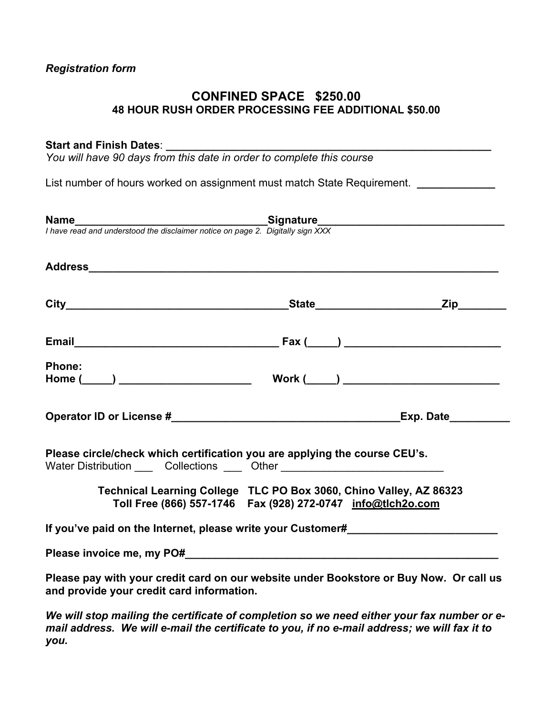#### *Registration form*

#### **CONFINED SPACE \$250.00 48 HOUR RUSH ORDER PROCESSING FEE ADDITIONAL \$50.00**

#### Start and Finish Dates:

*You will have 90 days from this date in order to complete this course* 

List number of hours worked on assignment must match State Requirement. *\_\_\_\_\_\_\_\_\_\_\_\_* 

| <b>Phone:</b>                                                                                                                                                  |                                                               |  |
|----------------------------------------------------------------------------------------------------------------------------------------------------------------|---------------------------------------------------------------|--|
|                                                                                                                                                                |                                                               |  |
| Please circle/check which certification you are applying the course CEU's.<br>Water Distribution ______ Collections _____ Other ______________________________ |                                                               |  |
| Technical Learning College TLC PO Box 3060, Chino Valley, AZ 86323                                                                                             | Toll Free (866) 557-1746  Fax (928) 272-0747  info@tlch2o.com |  |
| If you've paid on the Internet, please write your Customer#                                                                                                    |                                                               |  |
|                                                                                                                                                                |                                                               |  |
| Please pay with your credit card on our website under Bookstore or Buy Now. Or call us<br>and provide your credit card information.                            |                                                               |  |
| 144. will about mailing the conditions of completion as we need either very ferromaker and                                                                     |                                                               |  |

*We will stop mailing the certificate of completion so we need either your fax number or email address. We will e-mail the certificate to you, if no e-mail address; we will fax it to you.*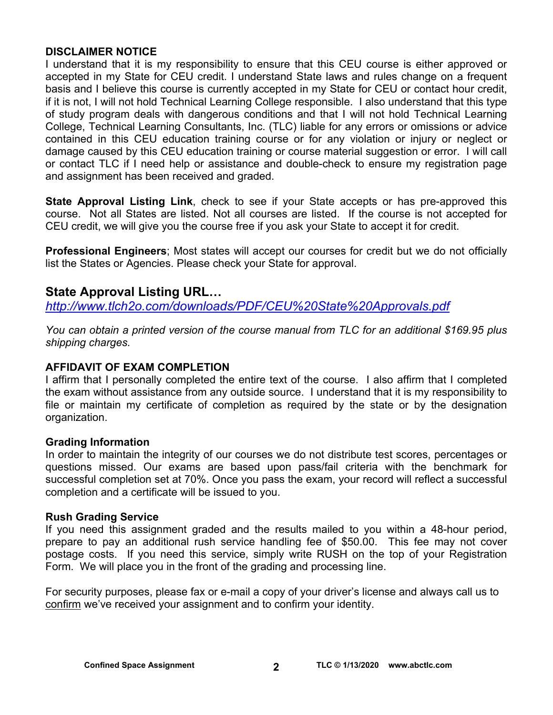#### **DISCLAIMER NOTICE**

I understand that it is my responsibility to ensure that this CEU course is either approved or accepted in my State for CEU credit. I understand State laws and rules change on a frequent basis and I believe this course is currently accepted in my State for CEU or contact hour credit, if it is not, I will not hold Technical Learning College responsible. I also understand that this type of study program deals with dangerous conditions and that I will not hold Technical Learning College, Technical Learning Consultants, Inc. (TLC) liable for any errors or omissions or advice contained in this CEU education training course or for any violation or injury or neglect or damage caused by this CEU education training or course material suggestion or error. I will call or contact TLC if I need help or assistance and double-check to ensure my registration page and assignment has been received and graded.

**State Approval Listing Link**, check to see if your State accepts or has pre-approved this course. Not all States are listed. Not all courses are listed. If the course is not accepted for CEU credit, we will give you the course free if you ask your State to accept it for credit.

**Professional Engineers**; Most states will accept our courses for credit but we do not officially list the States or Agencies. Please check your State for approval.

### **State Approval Listing URL…**

*<http://www.tlch2o.com/downloads/PDF/CEU%20State%20Approvals.pdf>*

*You can obtain a printed version of the course manual from TLC for an additional \$169.95 plus shipping charges.* 

#### **AFFIDAVIT OF EXAM COMPLETION**

I affirm that I personally completed the entire text of the course. I also affirm that I completed the exam without assistance from any outside source. I understand that it is my responsibility to file or maintain my certificate of completion as required by the state or by the designation organization.

#### **Grading Information**

In order to maintain the integrity of our courses we do not distribute test scores, percentages or questions missed. Our exams are based upon pass/fail criteria with the benchmark for successful completion set at 70%. Once you pass the exam, your record will reflect a successful completion and a certificate will be issued to you.

#### **Rush Grading Service**

If you need this assignment graded and the results mailed to you within a 48-hour period, prepare to pay an additional rush service handling fee of \$50.00. This fee may not cover postage costs. If you need this service, simply write RUSH on the top of your Registration Form. We will place you in the front of the grading and processing line.

For security purposes, please fax or e-mail a copy of your driver's license and always call us to confirm we've received your assignment and to confirm your identity.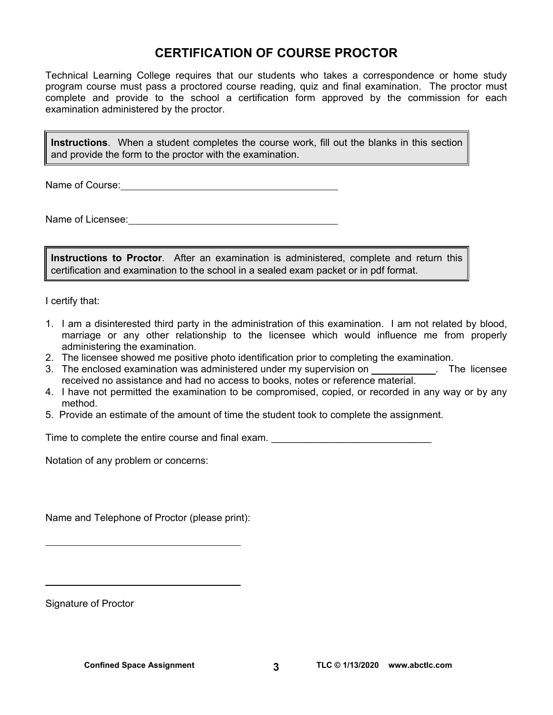### **CERTIFICATION OF COURSE PROCTOR**

Technical Learning College requires that our students who takes a correspondence or home study program course must pass a proctored course reading, quiz and final examination. The proctor must complete and provide to the school a certification form approved by the commission for each examination administered by the proctor.

**Instructions**. When a student completes the course work, fill out the blanks in this section and provide the form to the proctor with the examination.

Name of Course:  $\blacksquare$ 

Name of Licensee:

**Instructions to Proctor**. After an examination is administered, complete and return this certification and examination to the school in a sealed exam packet or in pdf format.

I certify that:

- 1. I am a disinterested third party in the administration of this examination. I am not related by blood, marriage or any other relationship to the licensee which would influence me from properly administering the examination.
- 2. The licensee showed me positive photo identification prior to completing the examination.
- 3. The enclosed examination was administered under my supervision on . The licensee received no assistance and had no access to books, notes or reference material.
- 4. I have not permitted the examination to be compromised, copied, or recorded in any way or by any method.
- 5. Provide an estimate of the amount of time the student took to complete the assignment.

Time to complete the entire course and final exam. \_\_\_\_\_\_\_\_\_\_\_\_\_\_\_\_\_\_\_\_\_\_\_\_\_\_\_\_\_

Notation of any problem or concerns:

Name and Telephone of Proctor (please print):

Signature of Proctor

 $\overline{a}$ 

 $\overline{a}$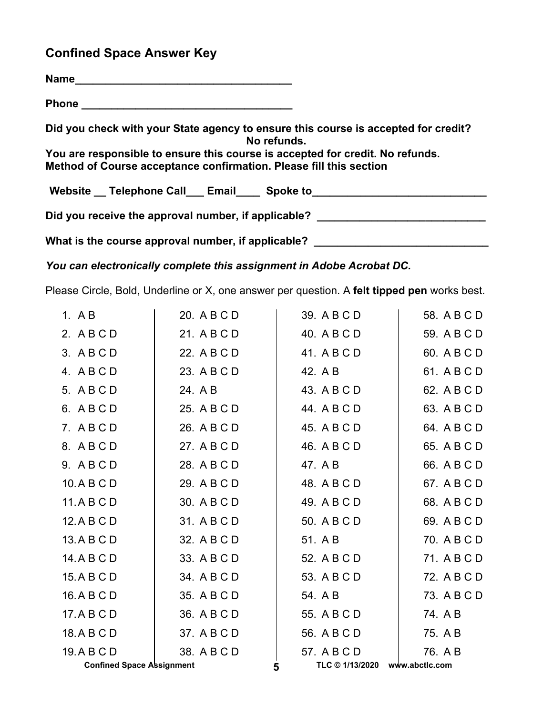# **Confined Space Answer Key**

| Phone <u>_______________</u> ____________                                                                                                           |
|-----------------------------------------------------------------------------------------------------------------------------------------------------|
| Did you check with your State agency to ensure this course is accepted for credit?<br>No refunds.                                                   |
| You are responsible to ensure this course is accepted for credit. No refunds.<br>Method of Course acceptance confirmation. Please fill this section |
| Website __ Telephone Call ___ Email ____ Spoke to ______________________________                                                                    |
| Did you receive the approval number, if applicable? ____________________________                                                                    |
| What is the course approval number, if applicable?                                                                                                  |

*You can electronically complete this assignment in Adobe Acrobat DC.* 

Please Circle, Bold, Underline or X, one answer per question. A **felt tipped pen** works best.

| <b>Confined Space Assignment</b> |             | 5 | TLC © 1/13/2020 | www.abctlc.com |
|----------------------------------|-------------|---|-----------------|----------------|
| 19. A B C D                      | 38. A B C D |   | 57. A B C D     | 76. A B        |
| 18.A B C D                       | 37. A B C D |   | 56. A B C D     | 75. A B        |
| 17. A B C D                      | 36. A B C D |   | 55. A B C D     | 74. AB         |
| 16.ABCD                          | 35. A B C D |   | 54. A B         | 73. A B C D    |
| 15.A B C D                       | 34. A B C D |   | 53. A B C D     | 72. A B C D    |
| 14. A B C D                      | 33. A B C D |   | 52. A B C D     | 71. A B C D    |
| 13.A B C D                       | 32. A B C D |   | 51. A B         | 70. A B C D    |
| 12.ABCD                          | 31. A B C D |   | 50. A B C D     | 69. A B C D    |
| 11.ABCD                          | 30. A B C D |   | 49. A B C D     | 68. A B C D    |
| 10.ABCD                          | 29. A B C D |   | 48. A B C D     | 67. A B C D    |
| 9. ABCD                          | 28. A B C D |   | 47. A B         | 66. A B C D    |
| 8. ABCD                          | 27. A B C D |   | 46. A B C D     | 65. A B C D    |
| 7. ABCD                          | 26. A B C D |   | 45. A B C D     | 64. A B C D    |
| 6. ABCD                          | 25. A B C D |   | 44. A B C D     | 63. A B C D    |
| 5. A B C D                       | 24. A B     |   | 43. A B C D     | 62. A B C D    |
| 4. ABCD                          | 23. A B C D |   | 42. A B         | 61. A B C D    |
| 3. ABCD                          | 22. A B C D |   | 41. A B C D     | 60. A B C D    |
| 2. ABCD                          | 21. A B C D |   | 40. A B C D     | 59. A B C D    |
| 1. A B                           | 20. A B C D |   | 39. A B C D     | 58. A B C D    |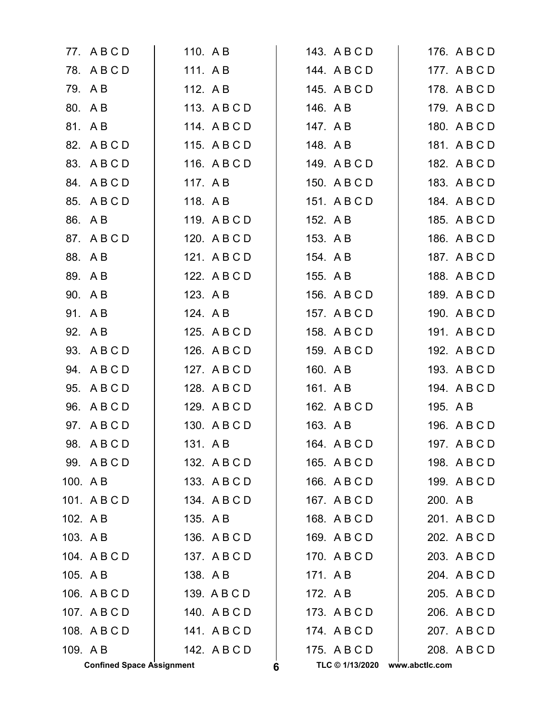|          | 77. ABCD                         | 110. A B |              |   | 143. A B C D    |                | 176. A B C D |
|----------|----------------------------------|----------|--------------|---|-----------------|----------------|--------------|
|          | 78. A B C D                      | 111. AB  |              |   | 144. ABCD       |                | 177. A B C D |
|          | 79. AB                           | 112. A B |              |   | 145. A B C D    |                | 178. A B C D |
|          | 80. AB                           |          | 113. ABCD    |   | 146. AB         |                | 179. ABCD    |
|          | 81. AB                           |          | 114. ABCD    |   | 147. A B        |                | 180. A B C D |
|          | 82. A B C D                      |          | 115. ABCD    |   | 148. AB         |                | 181. ABCD    |
|          | 83. A B C D                      |          | 116. A B C D |   | 149. A B C D    |                | 182. A B C D |
|          | 84. ABCD                         | 117. A B |              |   | 150. A B C D    |                | 183. A B C D |
|          | 85. A B C D                      | 118. AB  |              |   | 151. ABCD       |                | 184. A B C D |
|          | 86. AB                           |          | 119. ABCD    |   | 152. A B        |                | 185. A B C D |
|          | 87. A B C D                      |          | 120. A B C D |   | 153. A B        |                | 186. A B C D |
|          | 88. AB                           |          | 121. A B C D |   | 154. AB         |                | 187. A B C D |
|          | 89. AB                           |          | 122. A B C D |   | 155. A B        |                | 188. A B C D |
|          | 90. A B                          | 123. AB  |              |   | 156. A B C D    |                | 189. A B C D |
|          | 91. AB                           | 124. A B |              |   | 157. A B C D    |                | 190. A B C D |
|          | 92. A B                          |          | 125. A B C D |   | 158. A B C D    |                | 191. A B C D |
|          | 93. A B C D                      |          | 126. A B C D |   | 159. ABCD       |                | 192. A B C D |
| 94.      | ABCD                             |          | 127. ABCD    |   | 160. A B        |                | 193. A B C D |
|          | 95. A B C D                      |          | 128. A B C D |   | 161. A B        |                | 194. A B C D |
|          | 96. A B C D                      |          | 129. A B C D |   | 162. A B C D    | 195. A B       |              |
|          | 97. A B C D                      |          | 130. A B C D |   | 163. A B        |                | 196. A B C D |
|          | 98. ABCD                         | 131. A B |              |   | 164. A B C D    |                | 197. ABCD    |
|          | 99. ABCD                         |          | 132. A B C D |   | 165. A B C D    |                | 198. A B C D |
| 100. A B |                                  |          | 133. ABCD    |   | 166. A B C D    |                | 199. A B C D |
|          | 101. ABCD                        |          | 134. A B C D |   | 167. A B C D    | 200. A B       |              |
| 102. AB  |                                  | 135. AB  |              |   | 168. A B C D    |                | 201. ABCD    |
| 103. AB  |                                  |          | 136. A B C D |   | 169. ABCD       |                | 202. A B C D |
|          | 104. ABCD                        |          | 137. ABCD    |   | 170. ABCD       |                | 203. A B C D |
| 105. AB  |                                  | 138. AB  |              |   | 171. AB         |                | 204. A B C D |
|          | 106. A B C D                     |          | 139. A B C D |   | 172. AB         |                | 205. A B C D |
|          | 107. ABCD                        |          | 140. A B C D |   | 173. ABCD       |                | 206. A B C D |
|          | 108. A B C D                     |          | 141. ABCD    |   | 174. ABCD       |                | 207. A B C D |
| 109. AB  |                                  |          | 142. A B C D |   | 175. ABCD       |                | 208. A B C D |
|          | <b>Confined Space Assignment</b> |          |              | 6 | TLC © 1/13/2020 | www.abctlc.com |              |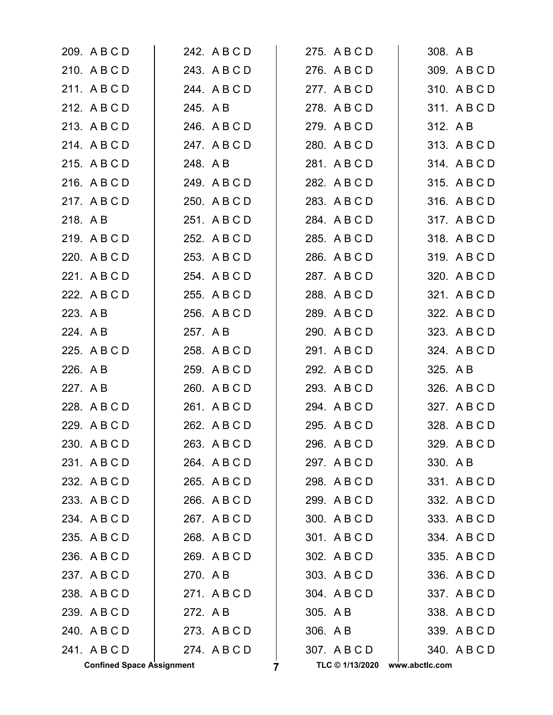|          | <b>Confined Space Assignment</b> |          |              | 7 | TLC © 1/13/2020 | www.abctlc.com |          |              |
|----------|----------------------------------|----------|--------------|---|-----------------|----------------|----------|--------------|
|          | 241. ABCD                        |          | 274. ABCD    |   | 307. ABCD       |                |          | 340. A B C D |
|          | 240. ABCD                        |          | 273. ABCD    |   | 306. A B        |                |          | 339. A B C D |
|          | 239. A B C D                     | 272. A B |              |   | 305. A B        |                |          | 338. A B C D |
|          | 238. A B C D                     |          | 271. ABCD    |   | 304. A B C D    |                |          | 337. A B C D |
|          | 237. ABCD                        | 270. AB  |              |   | 303. A B C D    |                |          | 336. A B C D |
|          | 236. A B C D                     |          | 269. A B C D |   | 302. A B C D    |                |          | 335. A B C D |
|          | 235. A B C D                     |          | 268. A B C D |   | 301. A B C D    |                |          | 334. ABCD    |
|          | 234. A B C D                     |          | 267. ABCD    |   | 300. A B C D    |                |          | 333. A B C D |
|          | 233. A B C D                     |          | 266. A B C D |   | 299. A B C D    |                |          | 332. A B C D |
|          | 232. A B C D                     |          | 265. A B C D |   | 298. ABCD       |                |          | 331. ABCD    |
|          | 231. ABCD                        |          | 264. A B C D |   | 297. ABCD       |                | 330. A B |              |
|          | 230. A B C D                     |          | 263. A B C D |   | 296. A B C D    |                |          | 329. A B C D |
|          | 229. A B C D                     |          | 262. A B C D |   | 295. A B C D    |                |          | 328. A B C D |
|          | 228. A B C D                     |          | 261. ABCD    |   | 294. A B C D    |                |          | 327. A B C D |
| 227. A B |                                  |          | 260. A B C D |   | 293. A B C D    |                |          | 326. A B C D |
| 226. A B |                                  |          | 259. A B C D |   | 292. A B C D    |                | 325. A B |              |
|          | 225. A B C D                     |          | 258. A B C D |   | 291. A B C D    |                |          | 324. A B C D |
| 224. A B |                                  | 257. A B |              |   | 290. A B C D    |                |          | 323. A B C D |
| 223. A B |                                  |          | 256. A B C D |   | 289. A B C D    |                |          | 322. A B C D |
|          | 222. A B C D                     |          | 255. A B C D |   | 288. A B C D    |                |          | 321. A B C D |
|          | 221. ABCD                        |          | 254. A B C D |   | 287. A B C D    |                |          | 320. A B C D |
|          | 220. A B C D                     |          | 253. A B C D |   | 286. A B C D    |                |          | 319. A B C D |
|          | 219. A B C D                     |          | 252. A B C D |   | 285. A B C D    |                |          | 318. A B C D |
| 218. AB  |                                  |          | 251. ABCD    |   | 284. A B C D    |                |          | 317. A B C D |
|          | 217. ABCD                        |          | 250. A B C D |   | 283. A B C D    |                |          | 316. A B C D |
|          | 216. A B C D                     |          | 249. A B C D |   | 282. A B C D    |                |          | 315. A B C D |
|          | 215. A B C D                     |          | 248. A B     |   | 281. A B C D    |                |          | 314. A B C D |
|          | 214. A B C D                     |          | 247. A B C D |   | 280. A B C D    |                |          | 313. A B C D |
|          | 213. A B C D                     |          | 246. A B C D |   | 279. A B C D    |                | 312. A B |              |
|          | 212. A B C D                     |          | 245. A B     |   | 278. A B C D    |                |          | 311. ABCD    |
|          | 211. ABCD                        |          | 244. A B C D |   | 277. ABCD       |                |          | 310. A B C D |
|          | 210. ABCD                        |          | 243. A B C D |   | 276. A B C D    |                |          | 309. A B C D |
|          | 209. A B C D                     |          | 242. A B C D |   | 275. A B C D    |                | 308. A B |              |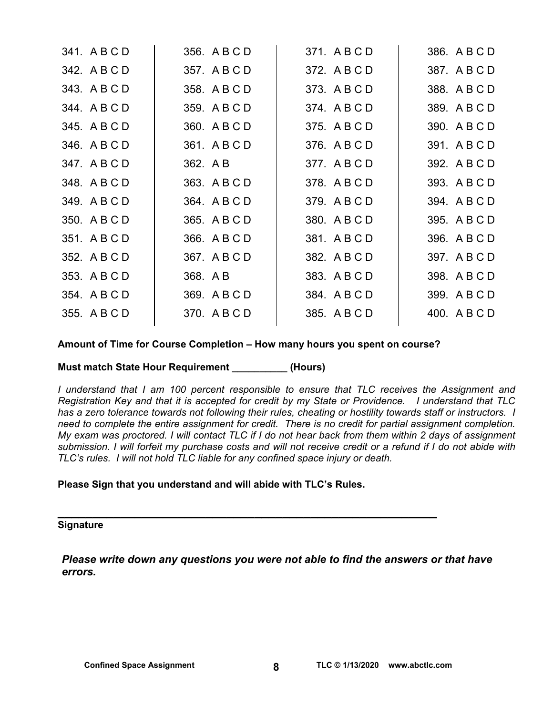| 341. A B C D | 356. A B C D | 371. ABCD    | 386. A B C D |
|--------------|--------------|--------------|--------------|
| 342. A B C D | 357. A B C D | 372. A B C D | 387. A B C D |
| 343. A B C D | 358. A B C D | 373. A B C D | 388. A B C D |
| 344. A B C D | 359. A B C D | 374. A B C D | 389. A B C D |
| 345. A B C D | 360. A B C D | 375. A B C D | 390. A B C D |
| 346. A B C D | 361. A B C D | 376. A B C D | 391. A B C D |
| 347. A B C D | 362. A B     | 377. A B C D | 392. A B C D |
| 348. ABCD    | 363. A B C D | 378. A B C D | 393. A B C D |
| 349. A B C D | 364. A B C D | 379. A B C D | 394. A B C D |
| 350. A B C D | 365. A B C D | 380. A B C D | 395. A B C D |
| 351. A B C D | 366. A B C D | 381. ABCD    | 396. A B C D |
| 352. A B C D | 367. A B C D | 382. A B C D | 397. A B C D |
| 353. A B C D | 368. A B     | 383. A B C D | 398. A B C D |
| 354. A B C D | 369. A B C D | 384. A B C D | 399. A B C D |
| 355. A B C D | 370. A B C D | 385. A B C D | 400. A B C D |
|              |              |              |              |

**Amount of Time for Course Completion – How many hours you spent on course?** 

**Must match State Hour Requirement \_\_\_\_\_\_\_\_\_\_ (Hours)** 

*I understand that I am 100 percent responsible to ensure that TLC receives the Assignment and Registration Key and that it is accepted for credit by my State or Providence. I understand that TLC has a zero tolerance towards not following their rules, cheating or hostility towards staff or instructors. I need to complete the entire assignment for credit. There is no credit for partial assignment completion. My exam was proctored. I will contact TLC if I do not hear back from them within 2 days of assignment submission. I will forfeit my purchase costs and will not receive credit or a refund if I do not abide with TLC's rules. I will not hold TLC liable for any confined space injury or death.* 

**Please Sign that you understand and will abide with TLC's Rules.** 

# **\_\_\_\_\_\_\_\_\_\_\_\_\_\_\_\_\_\_\_\_\_\_\_\_\_\_\_\_\_\_\_\_\_\_\_\_\_\_\_\_\_\_\_\_\_\_\_\_\_\_\_\_\_\_ Signature**

*Please write down any questions you were not able to find the answers or that have errors.*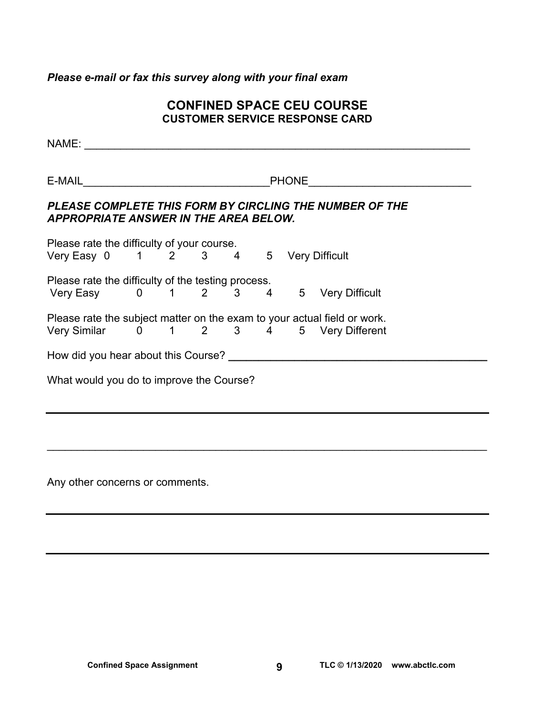### *Please e-mail or fax this survey along with your final exam*

#### **CONFINED SPACE CEU COURSE CUSTOMER SERVICE RESPONSE CARD**

| NAME: 2008 2009 2009 2010 2021 2022 2023 2024 2022 2023 2024 2022 2023 2024 2022 2023 2024 2022 2023 2024 2023                   |  |  |  |  |  |                                                                                                                 |  |
|----------------------------------------------------------------------------------------------------------------------------------|--|--|--|--|--|-----------------------------------------------------------------------------------------------------------------|--|
| E-MAIL 2008 2009 2009 2010 2021 2022 2023 2024 2022 2023 2024 2022 2023 2024 2022 2023 2024 2025 2026 2027 20                    |  |  |  |  |  | PHONE <u>_________</u>                                                                                          |  |
| <b>APPROPRIATE ANSWER IN THE AREA BELOW.</b>                                                                                     |  |  |  |  |  | PLEASE COMPLETE THIS FORM BY CIRCLING THE NUMBER OF THE                                                         |  |
| Please rate the difficulty of your course.<br>Trease rate the difficulty of your course.<br>Very Easy 0 1 2 3 4 5 Very Difficult |  |  |  |  |  |                                                                                                                 |  |
| Please rate the difficulty of the testing process.                                                                               |  |  |  |  |  | Prease rate the difficulty of the testing process.<br>Very Easy     0    1    2    3    4    5   Very Difficult |  |
| Please rate the subject matter on the exam to your actual field or work.<br>Very Similar 0 1 2 3 4 5 Very Different              |  |  |  |  |  |                                                                                                                 |  |
|                                                                                                                                  |  |  |  |  |  |                                                                                                                 |  |
| What would you do to improve the Course?                                                                                         |  |  |  |  |  |                                                                                                                 |  |
|                                                                                                                                  |  |  |  |  |  |                                                                                                                 |  |
|                                                                                                                                  |  |  |  |  |  |                                                                                                                 |  |
|                                                                                                                                  |  |  |  |  |  |                                                                                                                 |  |

Any other concerns or comments.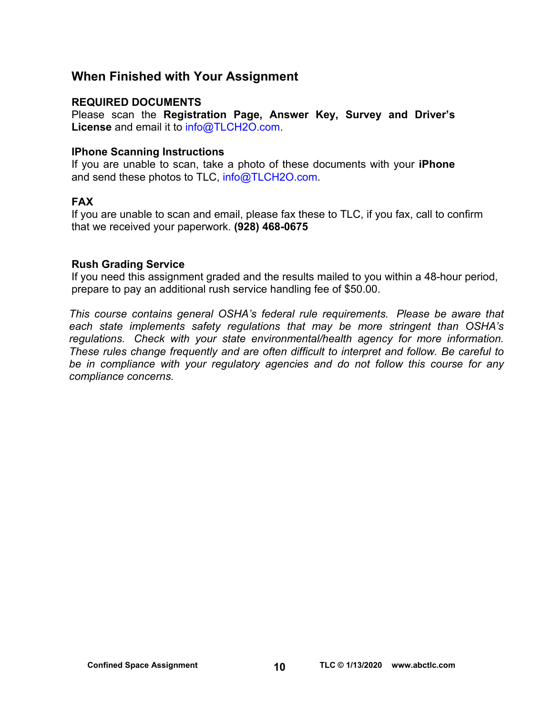### **When Finished with Your Assignment**

#### **REQUIRED DOCUMENTS**

Please scan the **Registration Page, Answer Key, Survey and Driver's License** and email it to [info@TLCH2O.com.](mailto:info@TLCH2O.com) 

#### **IPhone Scanning Instructions**

If you are unable to scan, take a photo of these documents with your **iPhone** and send these photos to TLC, info@TLCH2O.com.

#### **FAX**

If you are unable to scan and email, please fax these to TLC, if you fax, call to confirm that we received your paperwork. **(928) 468-0675** 

#### **Rush Grading Service**

If you need this assignment graded and the results mailed to you within a 48-hour period, prepare to pay an additional rush service handling fee of \$50.00.

*This course contains general OSHA's federal rule requirements. Please be aware that each state implements safety regulations that may be more stringent than OSHA's regulations. Check with your state environmental/health agency for more information. These rules change frequently and are often difficult to interpret and follow. Be careful to be in compliance with your regulatory agencies and do not follow this course for any compliance concerns.*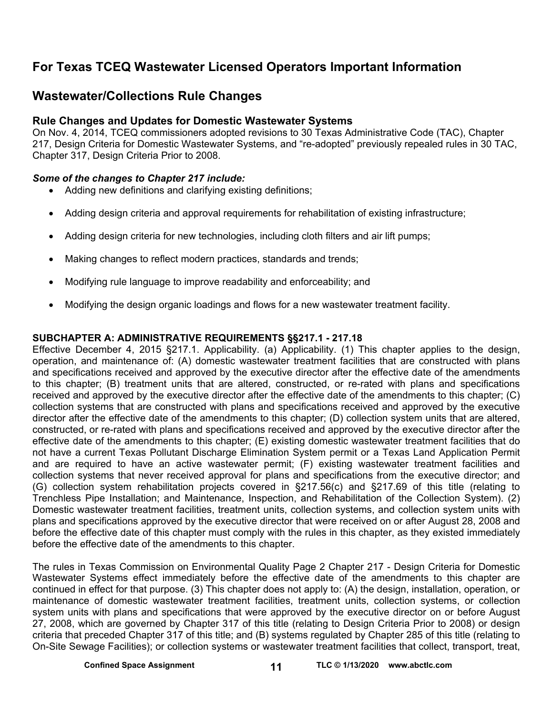### **For Texas TCEQ Wastewater Licensed Operators Important Information**

### **Wastewater/Collections Rule Changes**

#### **Rule Changes and Updates for Domestic Wastewater Systems**

On Nov. 4, 2014, TCEQ commissioners adopted revisions to 30 Texas Administrative Code (TAC), Chapter 217, Design Criteria for Domestic Wastewater Systems, and "re-adopted" previously repealed rules in 30 TAC, Chapter 317, Design Criteria Prior to 2008.

#### *Some of the changes to Chapter 217 include:*

- Adding new definitions and clarifying existing definitions;
- Adding design criteria and approval requirements for rehabilitation of existing infrastructure;
- Adding design criteria for new technologies, including cloth filters and air lift pumps;
- Making changes to reflect modern practices, standards and trends;
- Modifying rule language to improve readability and enforceability; and
- Modifying the design organic loadings and flows for a new wastewater treatment facility.

#### **SUBCHAPTER A: ADMINISTRATIVE REQUIREMENTS §§217.1 - 217.18**

Effective December 4, 2015 §217.1. Applicability. (a) Applicability. (1) This chapter applies to the design, operation, and maintenance of: (A) domestic wastewater treatment facilities that are constructed with plans and specifications received and approved by the executive director after the effective date of the amendments to this chapter; (B) treatment units that are altered, constructed, or re-rated with plans and specifications received and approved by the executive director after the effective date of the amendments to this chapter; (C) collection systems that are constructed with plans and specifications received and approved by the executive director after the effective date of the amendments to this chapter; (D) collection system units that are altered, constructed, or re-rated with plans and specifications received and approved by the executive director after the effective date of the amendments to this chapter; (E) existing domestic wastewater treatment facilities that do not have a current Texas Pollutant Discharge Elimination System permit or a Texas Land Application Permit and are required to have an active wastewater permit; (F) existing wastewater treatment facilities and collection systems that never received approval for plans and specifications from the executive director; and (G) collection system rehabilitation projects covered in §217.56(c) and §217.69 of this title (relating to Trenchless Pipe Installation; and Maintenance, Inspection, and Rehabilitation of the Collection System). (2) Domestic wastewater treatment facilities, treatment units, collection systems, and collection system units with plans and specifications approved by the executive director that were received on or after August 28, 2008 and before the effective date of this chapter must comply with the rules in this chapter, as they existed immediately before the effective date of the amendments to this chapter.

The rules in Texas Commission on Environmental Quality Page 2 Chapter 217 - Design Criteria for Domestic Wastewater Systems effect immediately before the effective date of the amendments to this chapter are continued in effect for that purpose. (3) This chapter does not apply to: (A) the design, installation, operation, or maintenance of domestic wastewater treatment facilities, treatment units, collection systems, or collection system units with plans and specifications that were approved by the executive director on or before August 27, 2008, which are governed by Chapter 317 of this title (relating to Design Criteria Prior to 2008) or design criteria that preceded Chapter 317 of this title; and (B) systems regulated by Chapter 285 of this title (relating to On-Site Sewage Facilities); or collection systems or wastewater treatment facilities that collect, transport, treat,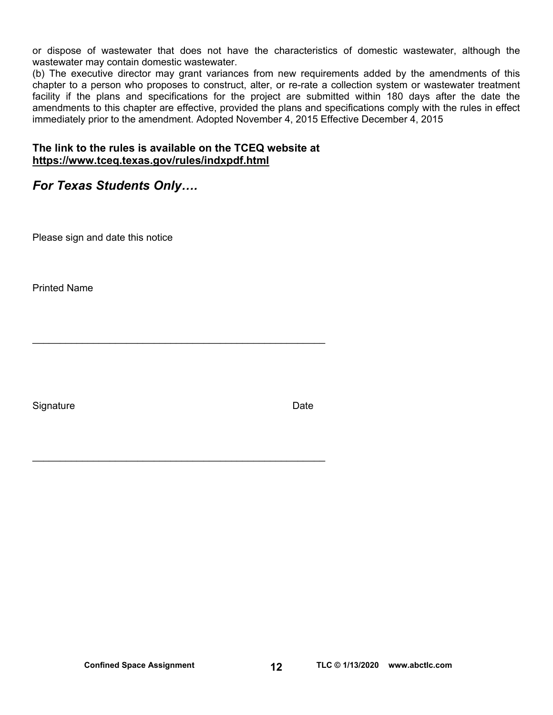or dispose of wastewater that does not have the characteristics of domestic wastewater, although the wastewater may contain domestic wastewater.

(b) The executive director may grant variances from new requirements added by the amendments of this chapter to a person who proposes to construct, alter, or re-rate a collection system or wastewater treatment facility if the plans and specifications for the project are submitted within 180 days after the date the amendments to this chapter are effective, provided the plans and specifications comply with the rules in effect immediately prior to the amendment. Adopted November 4, 2015 Effective December 4, 2015

#### **The link to the rules is available on the TCEQ website at <https://www.tceq.texas.gov/rules/indxpdf.html>**

 $\mathcal{L}_\text{max}$  and  $\mathcal{L}_\text{max}$  and  $\mathcal{L}_\text{max}$  and  $\mathcal{L}_\text{max}$  and  $\mathcal{L}_\text{max}$ 

 $\mathcal{L}_\text{max}$  and  $\mathcal{L}_\text{max}$  and  $\mathcal{L}_\text{max}$  and  $\mathcal{L}_\text{max}$  and  $\mathcal{L}_\text{max}$ 

### *For Texas Students Only….*

Please sign and date this notice

Printed Name

Signature Date **Date**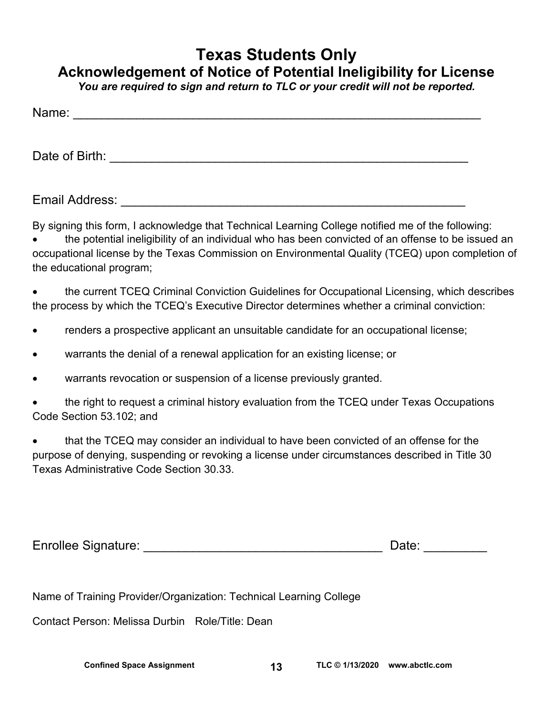# **Texas Students Only Acknowledgement of Notice of Potential Ineligibility for License**

*You are required to sign and return to TLC or your credit will not be reported.* 

| Name:          |  |  |
|----------------|--|--|
|                |  |  |
| Date of Birth: |  |  |
|                |  |  |

Email Address: \_\_\_\_\_\_\_\_\_\_\_\_\_\_\_\_\_\_\_\_\_\_\_\_\_\_\_\_\_\_\_\_\_\_\_\_\_\_\_\_\_\_\_\_\_\_\_\_\_

By signing this form, I acknowledge that Technical Learning College notified me of the following:

 the potential ineligibility of an individual who has been convicted of an offense to be issued an occupational license by the Texas Commission on Environmental Quality (TCEQ) upon completion of the educational program;

• the current TCEQ Criminal Conviction Guidelines for Occupational Licensing, which describes the process by which the TCEQ's Executive Director determines whether a criminal conviction:

- Tenders a prospective applicant an unsuitable candidate for an occupational license;
- warrants the denial of a renewal application for an existing license; or
- warrants revocation or suspension of a license previously granted.
- the right to request a criminal history evaluation from the TCEQ under Texas Occupations Code Section 53.102; and

 that the TCEQ may consider an individual to have been convicted of an offense for the purpose of denying, suspending or revoking a license under circumstances described in Title 30 Texas Administrative Code Section 30.33.

| <b>Enrollee Signature:</b> |  |  |  |
|----------------------------|--|--|--|
|----------------------------|--|--|--|

Name of Training Provider/Organization: Technical Learning College

Contact Person: Melissa Durbin Role/Title: Dean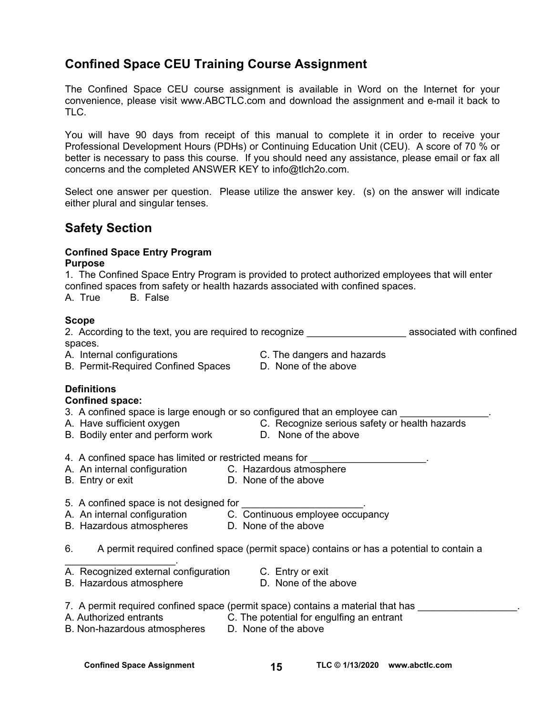### **Confined Space CEU Training Course Assignment**

The Confined Space CEU course assignment is available in Word on the Internet for your convenience, please visit [www.ABCTLC.com an](http://www.ABCTLC.com)d download the assignment and e-mail it back to TLC.

You will have 90 days from receipt of this manual to complete it in order to receive your Professional Development Hours (PDHs) or Continuing Education Unit (CEU). A score of 70 % or better is necessary to pass this course. If you should need any assistance, please email or fax all concerns and the completed ANSWER KEY to [info@tlch2o.com.](mailto:info@tlch2o.com) 

Select one answer per question. Please utilize the answer key. (s) on the answer will indicate either plural and singular tenses.

### **Safety Section**

## **Confined Space Entry Program**

#### **Purpose**

1. The Confined Space Entry Program is provided to protect authorized employees that will enter confined spaces from safety or health hazards associated with confined spaces.

A. True B. False

#### **Scope**

2. According to the text, you are required to recognize \_\_\_\_\_\_\_\_\_\_\_\_\_\_\_\_\_\_\_\_\_\_\_\_ associated with confined spaces.

A. Internal configurations C. The dangers and hazards

- B. Permit-Required Confined Spaces D. None of the above
- -

#### **Definitions**

#### **Confined space:**

3. A confined space is large enough or so configured that an employee can

- 
- B. Bodily enter and perform work D. None of the above
- A. Have sufficient oxygen **C. Recognize serious safety or health hazards** 
	-
- 4. A confined space has limited or restricted means for
- A. An internal configuration C.Hazardous atmosphere
- B. Entry or exit **D.** None of the above
- 
- 5. A confined space is not designed for
- A. An internal configuration C. Continuous employee occupancy
- B. Hazardous atmospheres D. None of the above
- 6. A permit required confined space (permit space) contains or has a potential to contain a
- $\mathcal{L}_\text{max}$  and  $\mathcal{L}_\text{max}$  and  $\mathcal{L}_\text{max}$ A. Recognized external configuration C. Entry or exit
- B. Hazardous atmosphere **D.** None of the above
- 
- 
- 7. A permit required confined space (permit space) contains a material that has
- 
- A. Authorized entrants C. The potential for engulfing an entrant
- B. Non-hazardous atmospheres D. None of the above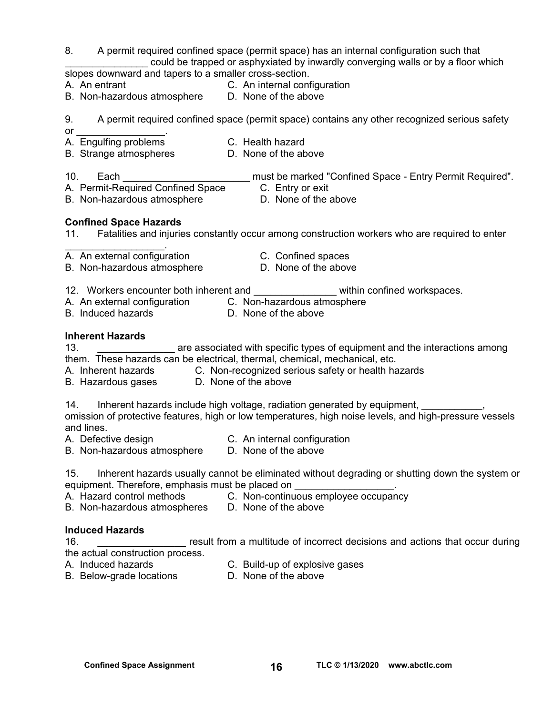8. A permit required confined space (permit space) has an internal configuration such that could be trapped or asphyxiated by inwardly converging walls or by a floor which

slopes downward and tapers to a smaller cross-section.

- 
- A. An entrant C. An internal configuration
- B. Non-hazardous atmosphere D. None of the above
- 9. A permit required confined space (permit space) contains any other recognized serious safety
- $or$
- A. Engulfing problems C. Health hazard
- B. Strange atmospheres **D. None of the above**
- 10. Each \_\_\_\_\_\_\_\_\_\_\_\_\_\_\_\_\_\_\_\_\_\_\_\_\_\_\_\_ must be marked "Confined Space Entry Permit Required".
- A. Permit-Required Confined Space C. Entry or exit<br>B. Non-hazardous atmosphere D. None of the above
- B. Non-hazardous atmosphere
- 

#### **Confined Space Hazards**

- 11. Fatalities and injuries constantly occur among construction workers who are required to enter
- $\mathcal{L}_\text{max}$  and  $\mathcal{L}_\text{max}$  and  $\mathcal{L}_\text{max}$ A. An external configuration **C. Confined spaces**
- B. Non-hazardous atmosphere **D.** None of the above
- -
- 12. Workers encounter both inherent and \_\_\_\_\_\_\_\_\_\_\_\_\_\_\_\_\_ within confined workspaces.
- A. An external configuration C.Non-hazardous atmosphere
- 
- B. Induced hazards **D.** None of the above

#### **Inherent Hazards**

13. **\_\_\_\_\_\_\_\_\_\_\_\_\_\_** are associated with specific types of equipment and the interactions among them. These hazards can be electrical, thermal, chemical, mechanical, etc.

- A. Inherent hazards **C. Non-recognized serious safety or health hazards**
- B. Hazardous gases D. None of the above

14. Inherent hazards include high voltage, radiation generated by equipment, \_\_\_\_\_\_\_\_\_\_, omission of protective features, high or low temperatures, high noise levels, and high-pressure vessels and lines.

- A. Defective design C. An internal configuration
- B. Non-hazardous atmosphere D. None of the above

15. Inherent hazards usually cannot be eliminated without degrading or shutting down the system or equipment. Therefore, emphasis must be placed on

- 
- A. Hazard control methods C. Non-continuous employee occupancy
- B. Non-hazardous atmospheres D. None of the above

#### **Induced Hazards**

16. \_\_\_\_\_\_\_\_\_\_\_\_\_\_\_\_ result from a multitude of incorrect decisions and actions that occur during the actual construction process.

- 
- A. Induced hazards C. Build-up of explosive gases
- 
- B. Below-grade locations D. None of the above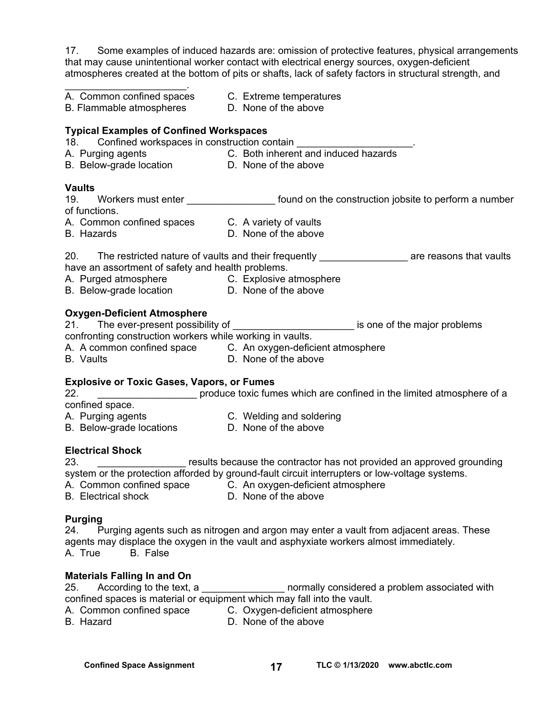17. Some examples of induced hazards are: omission of protective features, physical arrangements that may cause unintentional worker contact with electrical energy sources, oxygen-deficient atmospheres created at the bottom of pits or shafts, lack of safety factors in structural strength, and

| A. Common confined spaces C. Extreme temperatures<br>B. Flammable atmospheres D. None of the above                                                  |                                                                                                              |
|-----------------------------------------------------------------------------------------------------------------------------------------------------|--------------------------------------------------------------------------------------------------------------|
| <b>Typical Examples of Confined Workspaces</b><br>18. Confined workspaces in construction contain                                                   |                                                                                                              |
|                                                                                                                                                     |                                                                                                              |
|                                                                                                                                                     |                                                                                                              |
| <b>Vaults</b>                                                                                                                                       |                                                                                                              |
| 19.                                                                                                                                                 | Workers must enter ___________________ found on the construction jobsite to perform a number                 |
| of functions.                                                                                                                                       |                                                                                                              |
| A. Common confined spaces C. A variety of vaults                                                                                                    |                                                                                                              |
| <b>B.</b> Hazards                                                                                                                                   | D. None of the above                                                                                         |
|                                                                                                                                                     | 20. The restricted nature of vaults and their frequently __________________ are reasons that vaults          |
| have an assortment of safety and health problems.                                                                                                   |                                                                                                              |
| A. Purged atmosphere C. Explosive atmosphere<br>B. Below-grade location D. None of the above                                                        |                                                                                                              |
|                                                                                                                                                     |                                                                                                              |
| <b>Oxygen-Deficient Atmosphere</b>                                                                                                                  |                                                                                                              |
| 21. The ever-present possibility of                                                                                                                 | is one of the major problems                                                                                 |
| confronting construction workers while working in vaults.                                                                                           |                                                                                                              |
|                                                                                                                                                     | A. A common confined space    C. An oxygen-deficient atmosphere<br>B. Vaults            D. None of the above |
| <b>B.</b> Vaults                                                                                                                                    | D. None of the above                                                                                         |
| <b>Explosive or Toxic Gases, Vapors, or Fumes</b>                                                                                                   |                                                                                                              |
| 22.                                                                                                                                                 | produce toxic fumes which are confined in the limited atmosphere of a                                        |
| confined space.                                                                                                                                     |                                                                                                              |
| A. Purging agents                                   C. Welding and soldering<br>B. Below-grade locations                       D. None of the above |                                                                                                              |
|                                                                                                                                                     |                                                                                                              |
| <b>Electrical Shock</b>                                                                                                                             |                                                                                                              |
| 23.                                                                                                                                                 | results because the contractor has not provided an approved grounding                                        |
|                                                                                                                                                     | system or the protection afforded by ground-fault circuit interrupters or low-voltage systems.               |
|                                                                                                                                                     | A. Common confined space C. An oxygen-deficient atmosphere<br>B. Electrical shock D. None of the above       |
|                                                                                                                                                     |                                                                                                              |
| <b>Purging</b>                                                                                                                                      |                                                                                                              |
|                                                                                                                                                     | 24. Purging agents such as nitrogen and argon may enter a vault from adjacent areas. These                   |
|                                                                                                                                                     | agents may displace the oxygen in the vault and asphyxiate workers almost immediately.                       |

A. True B. False

#### **Materials Falling In and On**

25. According to the text, a z and the mormally considered a problem associated with confined spaces is material or equipment which may fall into the vault.

- A. Common confined space C. Oxygen-deficient atmosphere<br>B. Hazard B. None of the above
- 

D. None of the above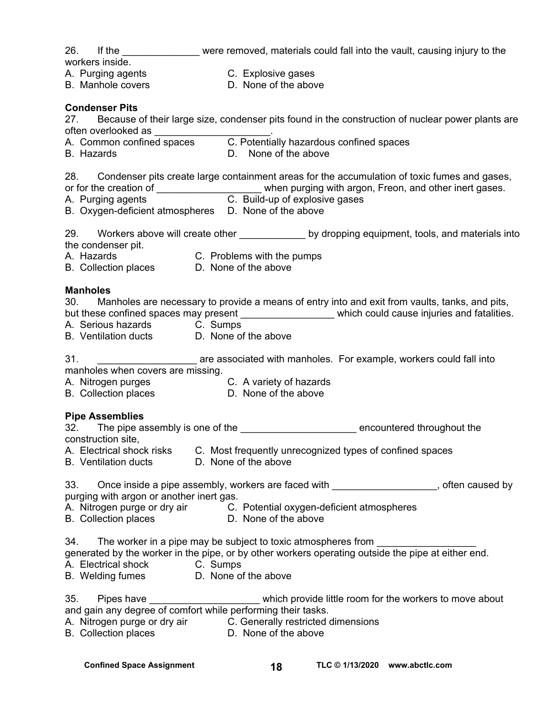| workers inside.                                                                                          | 26. If the ______________ were removed, materials could fall into the vault, causing injury to the                                                                                                                                                                                |
|----------------------------------------------------------------------------------------------------------|-----------------------------------------------------------------------------------------------------------------------------------------------------------------------------------------------------------------------------------------------------------------------------------|
| A. Purging agents C. Explosive gases<br>B. Manhole covers <b>B. None of the above</b>                    | D. None of the above                                                                                                                                                                                                                                                              |
| <b>Condenser Pits</b>                                                                                    | 27. Because of their large size, condenser pits found in the construction of nuclear power plants are                                                                                                                                                                             |
| <b>B.</b> Hazards                                                                                        | D. None of the above                                                                                                                                                                                                                                                              |
| B. Oxygen-deficient atmospheres D. None of the above                                                     | 28. Condenser pits create large containment areas for the accumulation of toxic fumes and gases,<br>or for the creation of _______________________when purging with argon, Freon, and other inert gases.<br>A. Purging agents _____________________C. Build-up of explosive gases |
| the condenser pit.<br>A. Hazards<br>B. Collection places<br>D. None of the above                         | 29. Workers above will create other ______________ by dropping equipment, tools, and materials into                                                                                                                                                                               |
| <b>Manholes</b><br>A. Serious hazards C. Sumps<br>B. Ventilation ducts D. None of the above<br>31.       | 30. Manholes are necessary to provide a means of entry into and exit from vaults, tanks, and pits,<br>but these confined spaces may present ___________________ which could cause injuries and fatalities.<br>are associated with manholes. For example, workers could fall into  |
| manholes when covers are missing.<br>A. Nitrogen purges<br>B. Collection places D. None of the above     | C. A variety of hazards                                                                                                                                                                                                                                                           |
| <b>Pipe Assemblies</b><br>construction site,<br>A. Electrical shock risks<br><b>B.</b> Ventilation ducts | 32. The pipe assembly is one of the _________________________ encountered throughout the<br>C. Most frequently unrecognized types of confined spaces<br>D. None of the above                                                                                                      |
| purging with argon or another inert gas.                                                                 | 33. Once inside a pipe assembly, workers are faced with __________________, often caused by<br>A. Nitrogen purge or dry air C. Potential oxygen-deficient atmospheres<br>B. Collection places D. None of the above                                                                |
| A. Electrical shock C. Sumps<br>B. Welding fumes D. None of the above                                    | 34. The worker in a pipe may be subject to toxic atmospheres from ______________<br>generated by the worker in the pipe, or by other workers operating outside the pipe at either end.                                                                                            |
| and gain any degree of comfort while performing their tasks.<br><b>B.</b> Collection places              | 35. Pipes have ____________________________which provide little room for the workers to move about<br>A. Nitrogen purge or dry air C. Generally restricted dimensions<br>D. None of the above                                                                                     |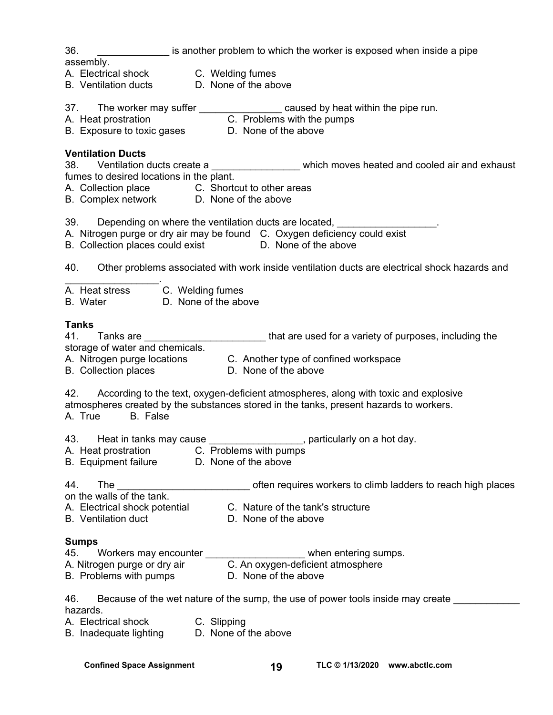36. \_\_\_\_\_\_\_\_\_\_\_\_\_ is another problem to which the worker is exposed when inside a pipe

assembly.

- A. Electrical shock C. Welding fumes
- B. Ventilation ducts D. None of the above
- 37. The worker may suffer the same caused by heat within the pipe run.
- A. Heat prostration **C. Problems with the pumps**
- B. Exposure to toxic gases **D.** None of the above

#### **Ventilation Ducts**

38. Ventilation ducts create a \_\_\_\_\_\_\_\_\_\_\_\_\_\_\_\_\_\_\_ which moves heated and cooled air and exhaust fumes to desired locations in the plant.

A. Collection place C. Shortcut to other areas

B. Complex network D. None of the above

39. Depending on where the ventilation ducts are located,

A. Nitrogen purge or dry air may be found C. Oxygen deficiency could exist

B. Collection places could exist **D.** None of the above

40. Other problems associated with work inside ventilation ducts are electrical shock hazards and

| A. Heat stress            | C. Welding fumes                                                    |
|---------------------------|---------------------------------------------------------------------|
| $\mathbf{R}$ $\mathbf{M}$ | $\mathbf{D}$ . All $\mathbf{L}$ is a set of the set of $\mathbf{L}$ |

B. Water D. None of the above

#### **Tanks**

| 41 | Tanks are                       | that are used for a variety of purposes, including the |
|----|---------------------------------|--------------------------------------------------------|
|    | storage of water and chemicals. |                                                        |

A. Nitrogen purge locations C. Another type of confined workspace

B. Collection places D. None of the above

 $\mathcal{L}_\text{max}$  and  $\mathcal{L}_\text{max}$ 

42. According to the text, oxygen-deficient atmospheres, along with toxic and explosive atmospheres created by the substances stored in the tanks, present hazards to workers.

A. True B. False

| 43. | Heat in tanks may cause | , particularly on a hot day. |
|-----|-------------------------|------------------------------|
|-----|-------------------------|------------------------------|

- A. Heat prostration C. Problems with pumps
- B. Equipment failure D. None of the above

| 44                                  | often requires workers to climb ladders to reach high places |
|-------------------------------------|--------------------------------------------------------------|
| on the walls of the tank.           |                                                              |
| A Floctuin of objects in other than | C. Mature of the temble structure                            |

A. Electrical shock potential C. Nature of the tank's structure

B. Ventilation duct **D.** None of the above

#### **Sumps**

| 45. | Workers may encounter        | when entering sumps.              |
|-----|------------------------------|-----------------------------------|
|     | A. Nitrogen purge or dry air | C. An oxygen-deficient atmosphere |

B. Problems with pumps **D. None of the above** 

46. Because of the wet nature of the sump, the use of power tools inside may create \_\_\_\_\_\_\_\_\_\_\_\_\_\_\_ hazards.

A. Electrical shock C. Slipping

B. Inadequate lighting D. None of the above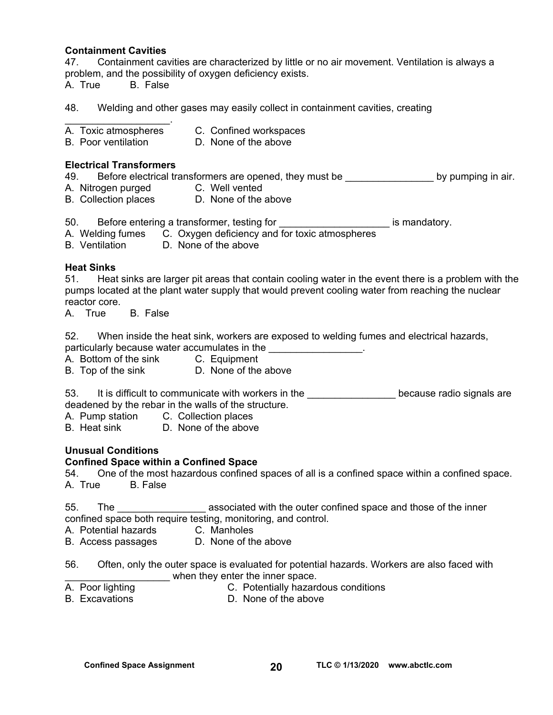#### **Containment Cavities**

47. Containment cavities are characterized by little or no air movement. Ventilation is always a problem, and the possibility of oxygen deficiency exists. A. True B. False

- 48. Welding and other gases may easily collect in containment cavities, creating
- $\mathcal{L}=\mathcal{L}^{\text{max}}$ A. Toxic atmospheres C. Confined workspaces
- B. Poor ventilation D. None of the above

#### **Electrical Transformers**

49. Before electrical transformers are opened, they must be \_\_\_\_\_\_\_\_\_\_\_\_\_\_\_\_\_\_\_\_ by pumping in air. A. Nitrogen purged C. Well vented B. Collection places D. None of the above

- 50. Before entering a transformer, testing for **EXACCO EXACCO EXACCO EXACCO EXACCO EXACCO EXACCO EXACCO EXACCO** is mandatory.
- A.Welding fumes C. Oxygen deficiency and for toxic atmospheres
- B. Ventilation D. None of the above

#### **Heat Sinks**

51. Heat sinks are larger pit areas that contain cooling water in the event there is a problem with the pumps located at the plant water supply that would prevent cooling water from reaching the nuclear reactor core.

A. True B. False

52. When inside the heat sink, workers are exposed to welding fumes and electrical hazards, particularly because water accumulates in the **water** and the setting of the setting of the setting of the setting of the setting of the setting of the setting of the setting of the setting of the setting of the setting of

- A. Bottom of the sink C. Equipment
- B. Top of the sink D. None of the above

53. It is difficult to communicate with workers in the **computer and the set of the set of the set of the set of** deadened by the rebar in the walls of the structure.

- A. Pump station C. Collection places
- B. Heat sink D. None of the above

#### **Unusual Conditions**

#### **Confined Space within a Confined Space**

54. One of the most hazardous confined spaces of all is a confined space within a confined space. A. True B. False

55. The same associated with the outer confined space and those of the inner confined space both require testing, monitoring, and control.

- A. Potential hazards C. Manholes
- B. Access passages D. None of the above
- 56. Often, only the outer space is evaluated for potential hazards. Workers are also faced with when they enter the inner space.
- 
- A. Poor lighting **C.** Potentially hazardous conditions
- 
- B. Excavations **D. None of the above**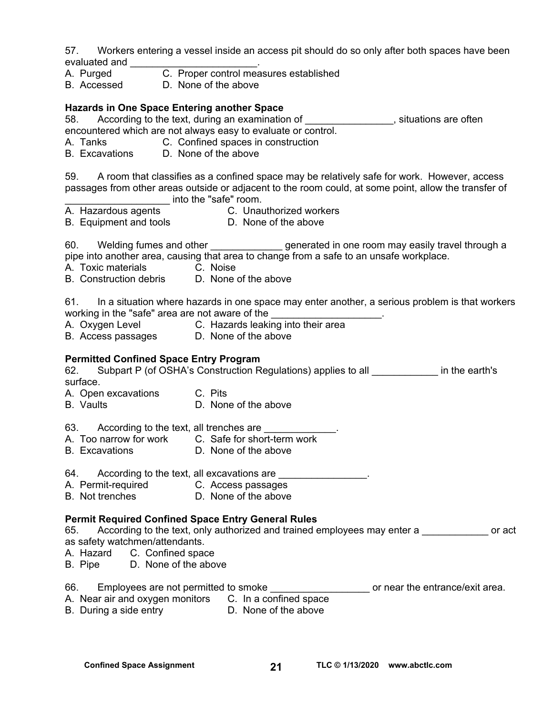57. Workers entering a vessel inside an access pit should do so only after both spaces have been evaluated and \_\_\_\_\_\_

- A. Purged C. Proper control measures established
- B. Accessed D. None of the above

#### **Hazards in One Space Entering another Space**

58. According to the text, during an examination of \_\_\_\_\_\_\_\_\_\_\_\_\_\_\_\_, situations are often

- encountered which are not always easy to evaluate or control.
- A. Tanks C. Confined spaces in construction
- B. Excavations D. None of the above

59. A room that classifies as a confined space may be relatively safe for work. However, access passages from other areas outside or adjacent to the room could, at some point, allow the transfer of end into the "safe" room.

- 
- A. Hazardous agents C. Unauthorized workers
- B. Equipment and tools **D. None of the above**

60. Welding fumes and other \_\_\_\_\_\_\_\_\_\_\_\_\_ generated in one room may easily travel through a pipe into another area, causing that area to change from a safe to an unsafe workplace.

- 
- A. Toxic materials C. Noise<br>B. Construction debris D. None of the above B. Construction debris

61. In a situation where hazards in one space may enter another, a serious problem is that workers working in the "safe" area are not aware of the

- A. Oxygen Level **C. Hazards leaking into their area**
- B. Access passages D. None of the above

#### **Permitted Confined Space Entry Program**

62. Subpart P (of OSHA's Construction Regulations) applies to all **Example 1** in the earth's surface.

- A. Open excavations C. Pits
- B. Vaults D. None of the above
- 63. According to the text, all trenches are
- A. Too narrow for work C. Safe for short-term work
- B. Excavations D. None of the above
- 64. According to the text, all excavations are \_\_\_\_\_\_\_\_\_\_\_\_\_\_\_\_.
- A. Permit-required **C. Access passages**
- B. Not trenches **D.** None of the above

#### **Permit Required Confined Space Entry General Rules**

65. According to the text, only authorized and trained employees may enter a **come of act** as safety watchmen/attendants.

- A. Hazard C. Confined space
- B. Pipe D. None of the above

#### 66. Employees are not permitted to smoke \_\_\_\_\_\_\_\_\_\_\_\_\_\_\_\_\_\_\_\_\_\_ or near the entrance/exit area.

- A. Near air and oxygen monitors C. In a confined space
- B. During a side entry **D. None of the above**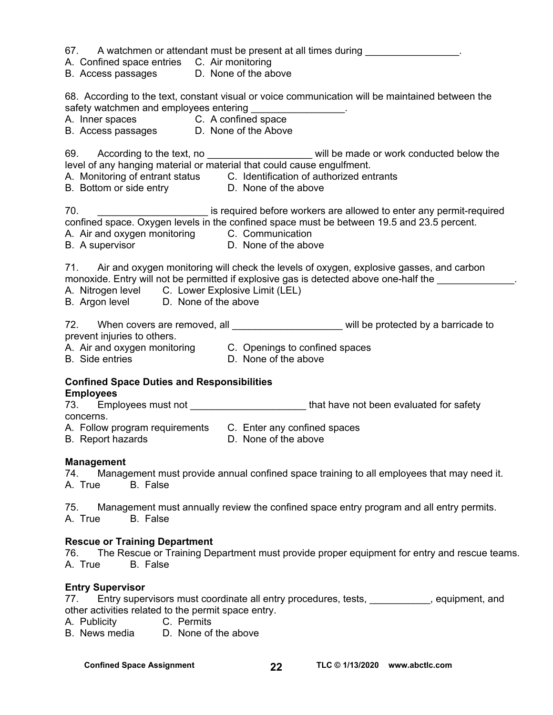| 67. |  | A watchmen or attendant must be present at all times during |  |  |  |
|-----|--|-------------------------------------------------------------|--|--|--|
|-----|--|-------------------------------------------------------------|--|--|--|

- A. Confined space entries C. Air monitoring
- B. Access passages D. None of the above

68. According to the text, constant visual or voice communication will be maintained between the safety watchmen and employees entering \_\_\_\_\_\_\_\_\_\_\_\_\_\_\_\_\_.

- A. Inner spaces C. A confined space
- B. Access passages D. None of the Above

69. According to the text, no **Example 20** will be made or work conducted below the level of any hanging material or material that could cause engulfment.

A. Monitoring of entrant status C. Identification of authorized entrants

B. Bottom or side entry **D.** None of the above

70. \_\_\_\_\_\_\_\_\_\_\_\_\_\_\_\_\_\_\_\_ is required before workers are allowed to enter any permit-required confined space. Oxygen levels in the confined space must be between 19.5 and 23.5 percent.

A. Air and oxygen monitoring

B. A supervisor **D.** None of the above

71. Air and oxygen monitoring will check the levels of oxygen, explosive gasses, and carbon monoxide. Entry will not be permitted if explosive gas is detected above one-half the

- A. Nitrogen level C. Lower Explosive Limit (LEL)
- B. Argon level D. None of the above

72. When covers are removed, all **the set of the set of the value of the vertex** will be protected by a barricade to prevent injuries to others.

- A. Air and oxygen monitoring C. Openings to confined spaces
- 
- B. Side entries **D. None of the above**

# **Confined Space Duties and Responsibilities**

#### **Employees**

73. Employees must not the same of that have not been evaluated for safety concerns.

A. Follow program requirements C. Enter any confined spaces

B. Report hazards D. None of the above

#### **Management**

74. Management must provide annual confined space training to all employees that may need it. A. True B. False

75. Management must annually review the confined space entry program and all entry permits. A. True B. False

#### **Rescue or Training Department**

76. The Rescue or Training Department must provide proper equipment for entry and rescue teams. A. True B. False

#### **Entry Supervisor**

- 77. Entry supervisors must coordinate all entry procedures, tests, electronically equipment, and other activities related to the permit space entry.
- A. Publicity C. Permits
- B. News media D. None of the above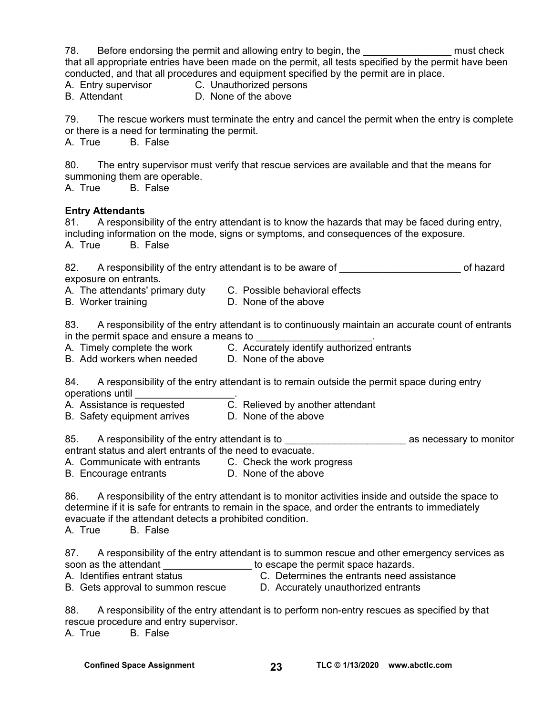78. Before endorsing the permit and allowing entry to begin, the Theorus and series when the control of the must check that all appropriate entries have been made on the permit, all tests specified by the permit have been conducted, and that all procedures and equipment specified by the permit are in place. A. Entry supervisor C. Unauthorized persons B. Attendant D. None of the above 79. The rescue workers must terminate the entry and cancel the permit when the entry is complete or there is a need for terminating the permit. A. True B. False 80. The entry supervisor must verify that rescue services are available and that the means for summoning them are operable. A. True B. False **Entry Attendants**  81. A responsibility of the entry attendant is to know the hazards that may be faced during entry, including information on the mode, signs or symptoms, and consequences of the exposure. A. True B. False 82. A responsibility of the entry attendant is to be aware of \_\_\_\_\_\_\_\_\_\_\_\_\_\_\_\_\_\_\_\_\_\_\_\_\_\_\_\_\_ of hazard exposure on entrants. A. The attendants' primary duty C. Possible behavioral effects B. Worker training **D.** None of the above 83. A responsibility of the entry attendant is to continuously maintain an accurate count of entrants in the permit space and ensure a means to A. Timely complete the work C. Accurately identify authorized entrants B. Add workers when needed D. None of the above 84. A responsibility of the entry attendant is to remain outside the permit space during entry operations until \_\_\_\_\_\_\_\_\_\_\_\_\_\_\_\_\_\_\_\_\_\_\_.<br>A. Assistance is requested C. Relieved by another attendant A. Assistance is requested B. Safety equipment arrives D. None of the above 85. A responsibility of the entry attendant is to \_\_\_\_\_\_\_\_\_\_\_\_\_\_\_\_\_\_\_\_\_\_\_\_\_\_\_\_\_\_ as necessary to monitor entrant status and alert entrants of the need to evacuate. A. Communicate with entrants C. Check the work progress B. Encourage entrants D. None of the above 86. A responsibility of the entry attendant is to monitor activities inside and outside the space to

determine if it is safe for entrants to remain in the space, and order the entrants to immediately evacuate if the attendant detects a prohibited condition.

A. True B. False

87. A responsibility of the entry attendant is to summon rescue and other emergency services as soon as the attendant \_\_\_\_\_\_\_\_\_\_\_\_\_\_\_\_\_\_\_\_\_ to escape the permit space hazards.

A. Identifies entrant status **C. Determines the entrants need assistance** 

B. Gets approval to summon rescue D. Accurately unauthorized entrants

88. A responsibility of the entry attendant is to perform non-entry rescues as specified by that rescue procedure and entry supervisor.

A. True B. False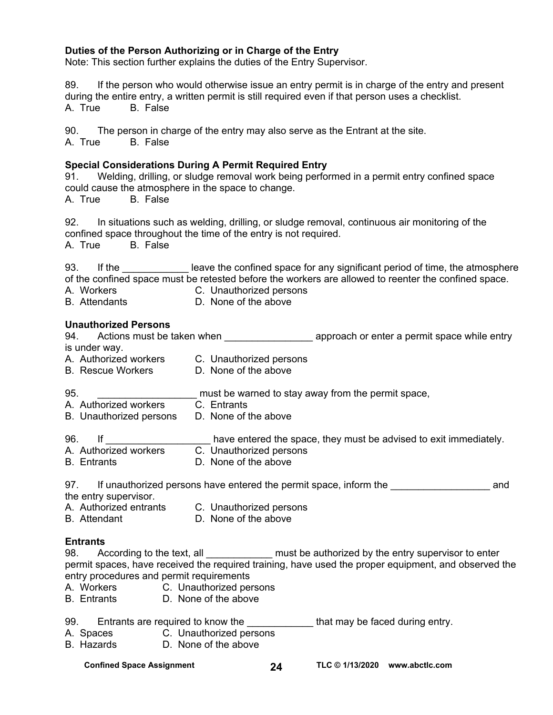#### **Duties of the Person Authorizing or in Charge of the Entry**

Note: This section further explains the duties of the Entry Supervisor.

89. If the person who would otherwise issue an entry permit is in charge of the entry and present during the entire entry, a written permit is still required even if that person uses a checklist. A. True B. False

90. The person in charge of the entry may also serve as the Entrant at the site.

A. True B. False

#### **Special Considerations During A Permit Required Entry**

91. Welding, drilling, or sludge removal work being performed in a permit entry confined space could cause the atmosphere in the space to change.

A. True B. False

92. In situations such as welding, drilling, or sludge removal, continuous air monitoring of the confined space throughout the time of the entry is not required.

A. True B. False

93. If the state on leave the confined space for any significant period of time, the atmosphere of the confined space must be retested before the workers are allowed to reenter the confined space.

- A. Workers **C. Unauthorized persons**<br>
B. Attendants **C. Unauthorized persons**
- D. None of the above

#### **Unauthorized Persons**

| 94. Actions must be taken when                                                                 |                                                    | approach or enter a permit space while entry                      |
|------------------------------------------------------------------------------------------------|----------------------------------------------------|-------------------------------------------------------------------|
| is under way.                                                                                  |                                                    |                                                                   |
| A. Authorized workers                                                                          | C. Unauthorized persons                            |                                                                   |
| B. Rescue Workers                                                                              | D. None of the above                               |                                                                   |
| 95.                                                                                            | must be warned to stay away from the permit space, |                                                                   |
| A. Authorized workers                                                                          | C. Entrants                                        |                                                                   |
| B. Unauthorized persons                                                                        | D. None of the above                               |                                                                   |
| 96.<br><u>lf</u>                                                                               |                                                    | have entered the space, they must be advised to exit immediately. |
| A. Authorized workers                                                                          | C. Unauthorized persons                            |                                                                   |
| <b>B.</b> Entrants                                                                             | D. None of the above                               |                                                                   |
| 97. If unauthorized persons have entered the permit space, inform the<br>the entry supervisor. |                                                    | and                                                               |
| A. Authorized entrants                                                                         | C. Unauthorized persons                            |                                                                   |
| <b>B.</b> Attendant                                                                            | D. None of the above                               |                                                                   |
|                                                                                                |                                                    |                                                                   |

#### **Entrants**

98. According to the text, all \_\_\_\_\_\_\_\_\_\_\_\_\_\_ must be authorized by the entry supervisor to enter permit spaces, have received the required training, have used the proper equipment, and observed the entry procedures and permit requirements

- A. Workers C. Unauthorized persons
- B. Entrants D. None of the above

| 99. | Entrants are required to know the | that may be faced during entry. |  |
|-----|-----------------------------------|---------------------------------|--|
|-----|-----------------------------------|---------------------------------|--|

- A. Spaces C. Unauthorized persons
- B. Hazards D. None of the above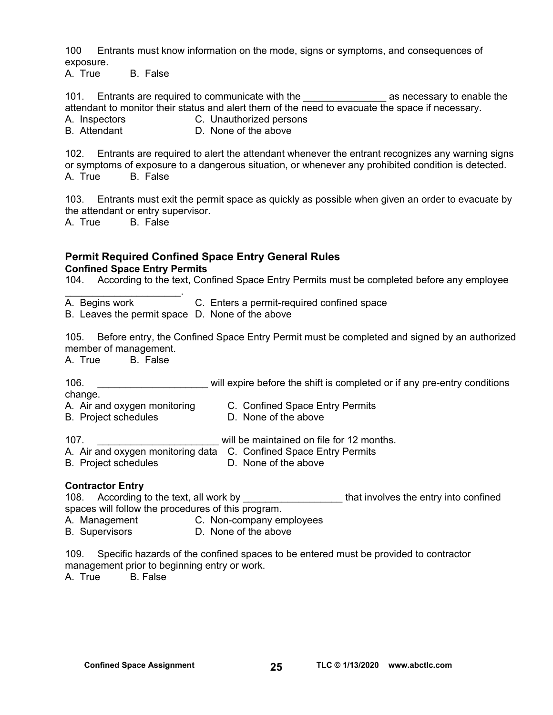100 Entrants must know information on the mode, signs or symptoms, and consequences of exposure.

A. True B. False

101. Entrants are required to communicate with the \_\_\_\_\_\_\_\_\_\_\_\_\_\_\_\_\_\_\_\_\_\_\_ as necessary to enable the attendant to monitor their status and alert them of the need to evacuate the space if necessary.

A. Inspectors **C. Unauthorized persons** 

B. Attendant **D. None of the above** 

102. Entrants are required to alert the attendant whenever the entrant recognizes any warning signs or symptoms of exposure to a dangerous situation, or whenever any prohibited condition is detected. A. True B. False

103. Entrants must exit the permit space as quickly as possible when given an order to evacuate by the attendant or entry supervisor.

A. True B. False

#### **Permit Required Confined Space Entry General Rules Confined Space Entry Permits**

104. According to the text, Confined Space Entry Permits must be completed before any employee

A. Begins work C. Enters a permit-required confined space

B. Leaves the permit space D. None of the above

105. Before entry, the Confined Space Entry Permit must be completed and signed by an authorized member of management.

A. True B. False

B. Project schedules

 $\mathcal{L}_\text{max}$  and  $\mathcal{L}_\text{max}$  and  $\mathcal{L}_\text{max}$ 

106. \_\_\_\_\_\_\_\_\_\_\_\_\_\_\_\_\_\_\_\_\_\_\_\_\_\_\_ will expire before the shift is completed or if any pre-entry conditions

change.

- A. Air and oxygen monitoring C. Confined Space Entry Permits<br>B. Proiect schedules C. None of the above
	-

107. **Example 2018** will be maintained on file for 12 months.

- A. Air and oxygen monitoring data C. Confined Space Entry Permits
- B. Project schedules D. None of the above

#### **Contractor Entry**

108. According to the text, all work by the state of that involves the entry into confined spaces will follow the procedures of this program.

- A. Management C. Non-company employees
- B. Supervisors D. None of the above

109. Specific hazards of the confined spaces to be entered must be provided to contractor management prior to beginning entry or work. A. True B. False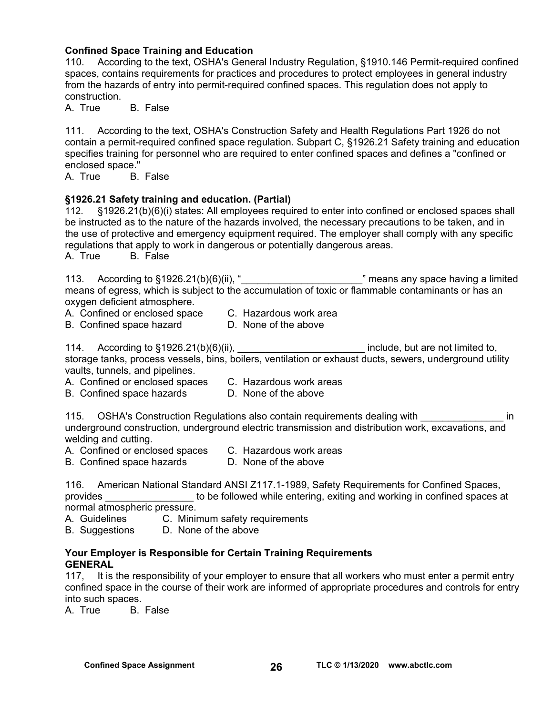#### **Confined Space Training and Education**

110. According to the text, OSHA's General Industry Regulation, §1910.146 Permit-required confined spaces, contains requirements for practices and procedures to protect employees in general industry from the hazards of entry into permit-required confined spaces. This regulation does not apply to construction.

A. True B. False

111. According to the text, OSHA's Construction Safety and Health Regulations Part 1926 do not contain a permit-required confined space regulation. Subpart C, §1926.21 Safety training and education specifies training for personnel who are required to enter confined spaces and defines a "confined or enclosed space."

A. True B. False

#### **§1926.21 Safety training and education. (Partial)**

112. §1926.21(b)(6)(i) states: All employees required to enter into confined or enclosed spaces shall be instructed as to the nature of the hazards involved, the necessary precautions to be taken, and in the use of protective and emergency equipment required. The employer shall comply with any specific regulations that apply to work in dangerous or potentially dangerous areas.

A. True B. False

113. According to §1926.21(b)(6)(ii), "<br>
" means any space having a limited means of egress, which is subject to the accumulation of toxic or flammable contaminants or has an oxygen deficient atmosphere.

- A. Confined or enclosed space C. Hazardous work area
	-

B. Confined space hazard D. None of the above

114. According to §1926.21(b)(6)(ii), the same section of limited to are not limited to, storage tanks, process vessels, bins, boilers, ventilation or exhaust ducts, sewers, underground utility vaults, tunnels, and pipelines.

- A. Confined or enclosed spaces C. Hazardous work areas
- B. Confined space hazards D. None of the above

115. OSHA's Construction Regulations also contain requirements dealing with **Example 20** in underground construction, underground electric transmission and distribution work, excavations, and welding and cutting.

- A. Confined or enclosed spaces C. Hazardous work areas<br>B. Confined space hazards D. None of the above
- B. Confined space hazards

116. American National Standard ANSI Z117.1-1989, Safety Requirements for Confined Spaces, provides \_\_\_\_\_\_\_\_\_\_\_\_\_\_\_\_ to be followed while entering, exiting and working in confined spaces at normal atmospheric pressure.

A. Guidelines C. Minimum safety requirements

B. Suggestions D. None of the above

#### **Your Employer is Responsible for Certain Training Requirements GENERAL**

117, It is the responsibility of your employer to ensure that all workers who must enter a permit entry confined space in the course of their work are informed of appropriate procedures and controls for entry into such spaces.

A. True B. False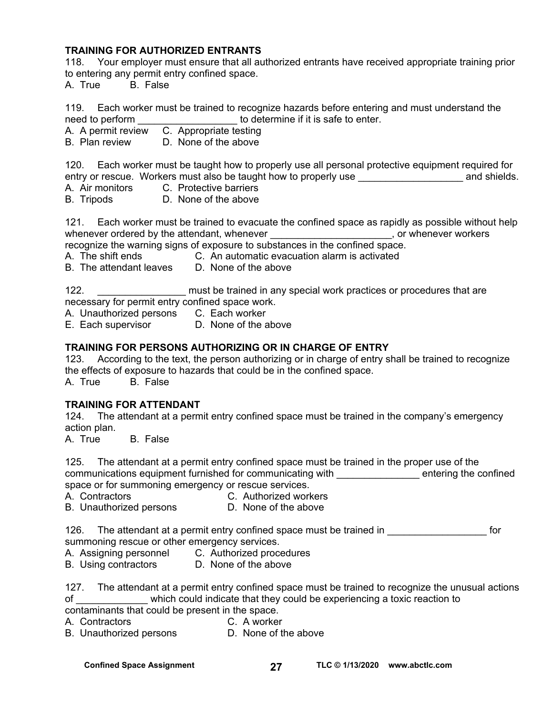#### **TRAINING FOR AUTHORIZED ENTRANTS**

118. Your employer must ensure that all authorized entrants have received appropriate training prior to entering any permit entry confined space.

A. True B. False

119. Each worker must be trained to recognize hazards before entering and must understand the need to perform **was also constrained** to determine if it is safe to enter.

A. A permit review C. Appropriate testing

B. Plan review D. None of the above

120. Each worker must be taught how to properly use all personal protective equipment required for entry or rescue. Workers must also be taught how to properly use \_\_\_\_\_\_\_\_\_\_\_\_\_\_\_\_\_\_\_\_\_\_\_ and shields.

A. Air monitors C. Protective barriers<br>B. Tripods D. None of the above D. None of the above

121. Each worker must be trained to evacuate the confined space as rapidly as possible without help whenever ordered by the attendant, whenever **with any contract and contract of the set of the set of the set of** or whenever workers recognize the warning signs of exposure to substances in the confined space.

A. The shift ends **C.** An automatic evacuation alarm is activated

B. The attendant leaves D. None of the above

122. **I** \_\_\_\_\_\_\_\_\_\_\_\_\_\_\_\_\_\_\_ must be trained in any special work practices or procedures that are necessary for permit entry confined space work.

- A. Unauthorized persons C. Each worker
- E. Each supervisor D. None of the above

#### **TRAINING FOR PERSONS AUTHORIZING OR IN CHARGE OF ENTRY**

123. According to the text, the person authorizing or in charge of entry shall be trained to recognize the effects of exposure to hazards that could be in the confined space.

A. True B. False

#### **TRAINING FOR ATTENDANT**

124. The attendant at a permit entry confined space must be trained in the company's emergency action plan.

A. True B. False

125. The attendant at a permit entry confined space must be trained in the proper use of the communications equipment furnished for communicating with \_\_\_\_\_\_\_\_\_\_\_\_\_\_\_\_\_ entering the confined space or for summoning emergency or rescue services.

A. Contractors C. Authorized workers

B. Unauthorized persons D. None of the above

126. The attendant at a permit entry confined space must be trained in **The attendant and a** for summoning rescue or other emergency services.

- A. Assigning personnel C. Authorized procedures
- B. Using contractors D. None of the above

127. The attendant at a permit entry confined space must be trained to recognize the unusual actions of \_\_\_\_\_\_\_\_\_\_\_\_\_ which could indicate that they could be experiencing a toxic reaction to contaminants that could be present in the space.

A. Contractors C. A worker

B. Unauthorized persons D. None of the above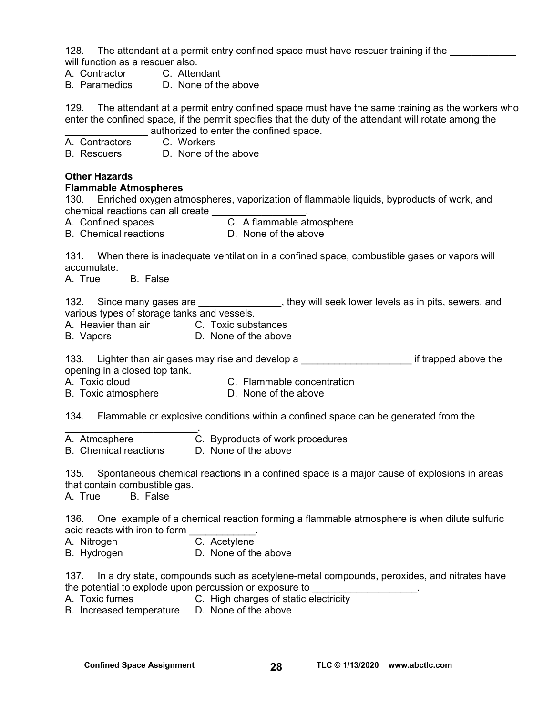128. The attendant at a permit entry confined space must have rescuer training if the will function as a rescuer also.

- A. Contractor C. Attendant
- B. Paramedics D. None of the above

129. The attendant at a permit entry confined space must have the same training as the workers who enter the confined space, if the permit specifies that the duty of the attendant will rotate among the authorized to enter the confined space.

- A. Contractors C. Workers B. Rescuers D. None of the above **Other Hazards Flammable Atmospheres**  130. Enriched oxygen atmospheres, vaporization of flammable liquids, byproducts of work, and chemical reactions can all create \_\_\_\_\_\_\_\_\_\_\_\_\_\_\_\_\_. A. Confined spaces C. A flammable atmosphere B. Chemical reactions **D.** None of the above 131. When there is inadequate ventilation in a confined space, combustible gases or vapors will accumulate. A. True B. False 132. Since many gases are **the contract intervally seek lower levels** as in pits, sewers, and various types of storage tanks and vessels. A. Heavier than air C. Toxic substances B. Vapors D. None of the above 133. Lighter than air gases may rise and develop a the manufacture is the state of trapped above the opening in a closed top tank. A. Toxic cloud C. Flammable concentration B. Toxic atmosphere **D.** None of the above 134. Flammable or explosive conditions within a confined space can be generated from the  $\mathcal{L}_\text{max}$  and  $\mathcal{L}_\text{max}$  and  $\mathcal{L}_\text{max}$
- A. Atmosphere C. Byproducts of work procedures<br>B. Chemical reactions D. None of the above
- B. Chemical reactions

135. Spontaneous chemical reactions in a confined space is a major cause of explosions in areas that contain combustible gas.

A. True B. False

136. One example of a chemical reaction forming a flammable atmosphere is when dilute sulfuric acid reacts with iron to form

- A. Nitrogen C. Acetylene
- B. Hydrogen D. None of the above

137. In a dry state, compounds such as acetylene-metal compounds, peroxides, and nitrates have the potential to explode upon percussion or exposure to

- A. Toxic fumes C. High charges of static electricity
- B. Increased temperature D. None of the above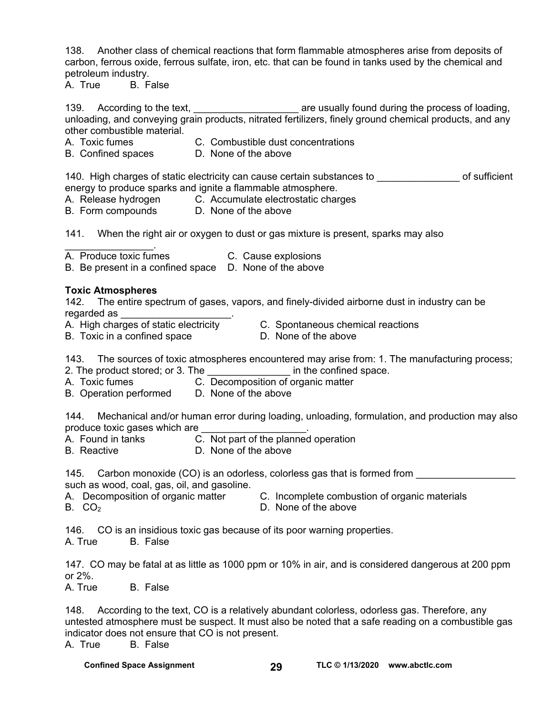138. Another class of chemical reactions that form flammable atmospheres arise from deposits of carbon, ferrous oxide, ferrous sulfate, iron, etc. that can be found in tanks used by the chemical and petroleum industry.

A. True B. False

139. According to the text, the state of the text, are usually found during the process of loading, unloading, and conveying grain products, nitrated fertilizers, finely ground chemical products, and any other combustible material.

- A. Toxic fumes C. Combustible dust concentrations
- B. Confined spaces D. None of the above

140. High charges of static electricity can cause certain substances to \_\_\_\_\_\_\_\_\_\_\_\_\_\_\_ of sufficient

- energy to produce sparks and ignite a flammable atmosphere.<br>A. Release hydrogen C. Accumulate electrostatic chare C. Accumulate electrostatic charges
- B. Form compounds D. None of the above

141. When the right air or oxygen to dust or gas mixture is present, sparks may also

A. Produce toxic fumes C. Cause explosions

B. Be present in a confined space D. None of the above

#### **Toxic Atmospheres**

 $\mathcal{L}_\text{max}$  . The set of the set of the set of the set of the set of the set of the set of the set of the set of the set of the set of the set of the set of the set of the set of the set of the set of the set of the set

142. The entire spectrum of gases, vapors, and finely-divided airborne dust in industry can be regarded as

- 
- A. High charges of static electricity C. Spontaneous chemical reactions
- B. Toxic in a confined space D. None of the above
- 

143. The sources of toxic atmospheres encountered may arise from: 1. The manufacturing process;

- 2. The product stored; or 3. The **Example 2.** The confined space.
- A. Toxic fumes C. Decomposition of organic matter
- B. Operation performed D. None of the above

144. Mechanical and/or human error during loading, unloading, formulation, and production may also produce toxic gases which are

- 
- A. Found in tanks C. Not part of the planned operation
- B. Reactive **D. None of the above**

145. Carbon monoxide (CO) is an odorless, colorless gas that is formed from such as wood, coal, gas, oil, and gasoline.

A. Decomposition of organic matter C. Incomplete combustion of organic materials  $B. CO<sub>2</sub>$  D. None of the above

146. CO is an insidious toxic gas because of its poor warning properties.

A. True B. False

147. CO may be fatal at as little as 1000 ppm or 10% in air, and is considered dangerous at 200 ppm or 2%.

A. True B. False

148. According to the text, CO is a relatively abundant colorless, odorless gas. Therefore, any untested atmosphere must be suspect. It must also be noted that a safe reading on a combustible gas indicator does not ensure that CO is not present.

A. True B. False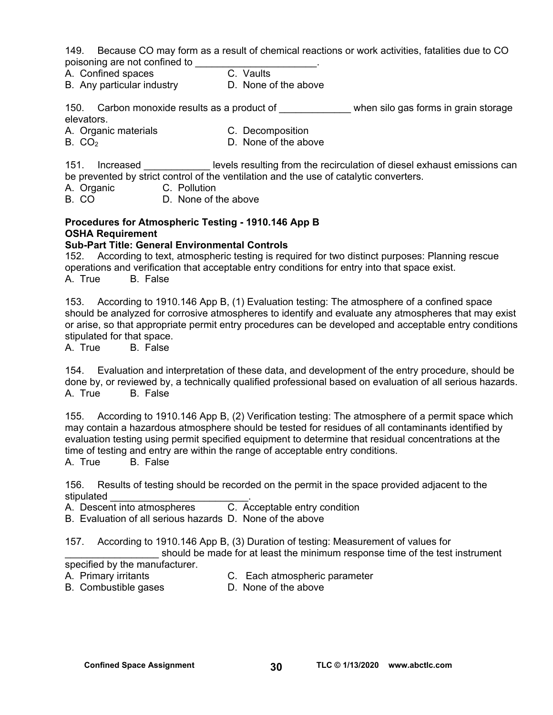149. Because CO may form as a result of chemical reactions or work activities, fatalities due to CO poisoning are not confined to \_\_\_\_\_\_\_\_\_\_\_\_\_\_\_\_\_\_\_\_\_\_.

A. Confined spaces C. Vaults

B. Any particular industry **D.** None of the above

150. Carbon monoxide results as a product of the state when silo gas forms in grain storage elevators.

A. Organic materials C. Decomposition

 $B. CO<sub>2</sub>$  D. None of the above

151. Increased **Exercise is resulting from the recirculation of diesel exhaust emissions can** be prevented by strict control of the ventilation and the use of catalytic converters.

A. Organic C. Pollution<br>
B. CO B. None of t

D. None of the above

#### **Procedures for Atmospheric Testing - 1910.146 App B OSHA Requirement**

#### **Sub-Part Title: General Environmental Controls**

152. According to text, atmospheric testing is required for two distinct purposes: Planning rescue operations and verification that acceptable entry conditions for entry into that space exist. A. True B. False

153. According to 1910.146 App B, (1) Evaluation testing: The atmosphere of a confined space should be analyzed for corrosive atmospheres to identify and evaluate any atmospheres that may exist or arise, so that appropriate permit entry procedures can be developed and acceptable entry conditions stipulated for that space.

A. True B. False

154. Evaluation and interpretation of these data, and development of the entry procedure, should be done by, or reviewed by, a technically qualified professional based on evaluation of all serious hazards. A. True B. False

155. According to 1910.146 App B, (2) Verification testing: The atmosphere of a permit space which may contain a hazardous atmosphere should be tested for residues of all contaminants identified by evaluation testing using permit specified equipment to determine that residual concentrations at the time of testing and entry are within the range of acceptable entry conditions.<br>A. True B. False

**B.** False

156. Results of testing should be recorded on the permit in the space provided adjacent to the stipulated

A. Descent into atmospheres C. Acceptable entry condition

B. Evaluation of all serious hazards D. None of the above

157. According to 1910.146 App B, (3) Duration of testing: Measurement of values for

should be made for at least the minimum response time of the test instrument specified by the manufacturer.

A. Primary irritants C. Each atmospheric parameter

B. Combustible gases **D.** None of the above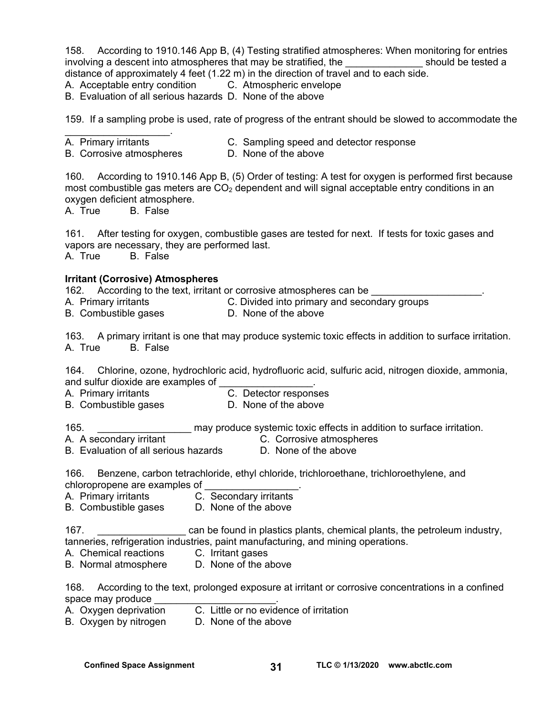158. According to 1910.146 App B, (4) Testing stratified atmospheres: When monitoring for entries involving a descent into atmospheres that may be stratified, the election on a should be tested a distance of approximately 4 feet (1.22 m) in the direction of travel and to each side.

A. Acceptable entry condition C. Atmospheric envelope

B. Evaluation of all serious hazards D. None of the above

159. If a sampling probe is used, rate of progress of the entrant should be slowed to accommodate the

- $\mathcal{L}_\text{max}$  and  $\mathcal{L}_\text{max}$  and  $\mathcal{L}_\text{max}$
- A. Primary irritants C. Sampling speed and detector response

B. Corrosive atmospheres **D.** None of the above

160. According to 1910.146 App B, (5) Order of testing: A test for oxygen is performed first because most combustible gas meters are  $CO<sub>2</sub>$  dependent and will signal acceptable entry conditions in an oxygen deficient atmosphere.

A. True B. False

161. After testing for oxygen, combustible gases are tested for next. If tests for toxic gases and vapors are necessary, they are performed last. A. True B. False

#### **Irritant (Corrosive) Atmospheres**

162. According to the text, irritant or corrosive atmospheres can be

- A. Primary irritants C. Divided into primary and secondary groups
- B. Combustible gases **D.** None of the above

163. A primary irritant is one that may produce systemic toxic effects in addition to surface irritation. A. True B. False

164. Chlorine, ozone, hydrochloric acid, hydrofluoric acid, sulfuric acid, nitrogen dioxide, ammonia, and sulfur dioxide are examples of

A. Primary irritants C. Detector responses

B. Combustible gases **D. None of the above** 

165. **Example 165** may produce systemic toxic effects in addition to surface irritation.

- A. A secondary irritant C. Corrosive atmospheres<br>B. Evaluation of all serious hazards D. None of the above
- B. Evaluation of all serious hazards

166. Benzene, carbon tetrachloride, ethyl chloride, trichloroethane, trichloroethylene, and chloropropene are examples of \_\_\_\_\_\_\_\_\_\_\_\_\_\_\_\_\_.

- A. Primary irritants C. Secondary irritants
- B. Combustible gases D. None of the above

167. **Example 167.** The same of ound in plastics plants, chemical plants, the petroleum industry, tanneries, refrigeration industries, paint manufacturing, and mining operations.

A. Chemical reactions C. Irritant gases

B. Normal atmosphere D. None of the above

168. According to the text, prolonged exposure at irritant or corrosive concentrations in a confined space may produce

- A. Oxygen deprivation C. Little or no evidence of irritation
- B. Oxygen by nitrogen D. None of the above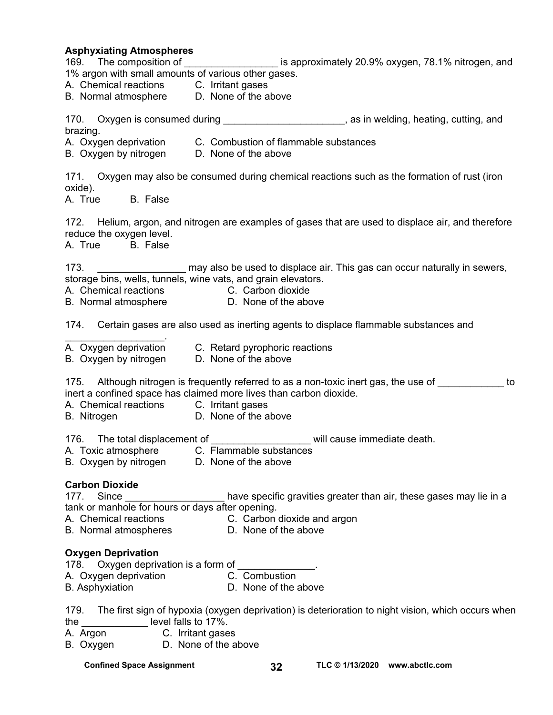**Asphyxiating Atmospheres**  169. The composition of the same of the superoximately 20.9% oxygen, 78.1% nitrogen, and 1% argon with small amounts of various other gases. A. Chemical reactions C. Irritant gases B. Normal atmosphere D. None of the above 170. Oxygen is consumed during example and the same of the same state of the Saygen is consumed during brazing. A. Oxygen deprivation C. Combustion of flammable substances B. Oxygen by nitrogen D. None of the above 171. Oxygen may also be consumed during chemical reactions such as the formation of rust (iron oxide).<br>A. True B. False 172. Helium, argon, and nitrogen are examples of gases that are used to displace air, and therefore reduce the oxygen level. A. True B. False 173. **Example 173.** This gas can occur naturally in sewers, storage bins, wells, tunnels, wine vats, and grain elevators. A. Chemical reactions C. Carbon dioxide B. Normal atmosphere **D.** None of the above 174. Certain gases are also used as inerting agents to displace flammable substances and  $\mathcal{L}_\text{max}$  and  $\mathcal{L}_\text{max}$  and  $\mathcal{L}_\text{max}$ A. Oxygen deprivation C. Retard pyrophoric reactions B. Oxygen by nitrogen D. None of the above 175. Although nitrogen is frequently referred to as a non-toxic inert gas, the use of to inert a confined space has claimed more lives than carbon dioxide. A. Chemical reactions C. Irritant gases B. Nitrogen D. None of the above 176. The total displacement of **will cause immediate death.** A. Toxic atmosphere C. Flammable substances B. Oxygen by nitrogen D. None of the above **Carbon Dioxide**  177. Since **Summan State State State State State State** Since in a state of the in a state of the in a state of the in a tank or manhole for hours or days after opening. A. Chemical reactions C. Carbon dioxide and argon B. Normal atmospheres D. None of the above **Oxygen Deprivation**  178. Oxygen deprivation is a form of A. Oxygen deprivation **C. Combustion** B. Asphyxiation **B.** D. None of the above 179. The first sign of hypoxia (oxygen deprivation) is deterioration to night vision, which occurs when the level falls to 17%. A. Argon C. Irritant gases

B. Oxygen D. None of the above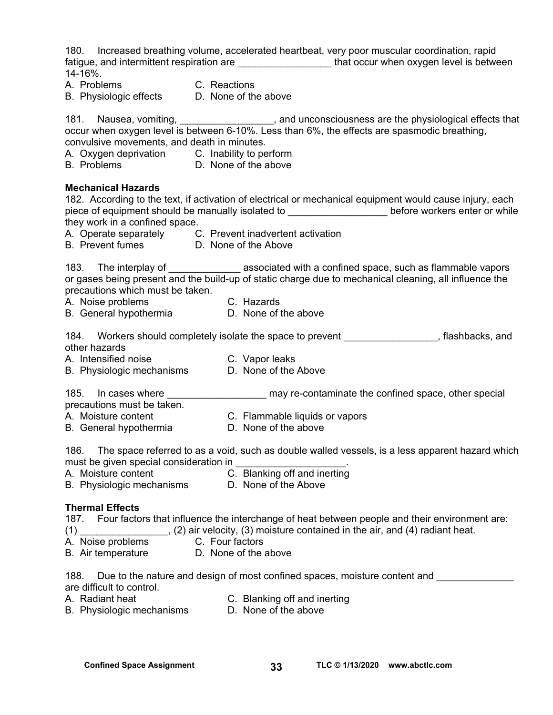180. Increased breathing volume, accelerated heartbeat, very poor muscular coordination, rapid fatigue, and intermittent respiration are \_\_\_\_\_\_\_\_\_\_\_\_\_\_\_\_\_\_\_\_\_\_that occur when oxygen level is between 14-16%. A. Problems C. Reactions B. Physiologic effects D. None of the above 181. Nausea, vomiting, 181. Nausea, vomiting, 2008. [16] And unconsciousness are the physiological effects that occur when oxygen level is between 6-10%. Less than 6%, the effects are spasmodic breathing, convulsive movements, and death in minutes. A. Oxygen deprivation C. Inability to perform B. Problems D. None of the above **Mechanical Hazards**  182. According to the text, if activation of electrical or mechanical equipment would cause injury, each piece of equipment should be manually isolated to entermined before workers enter or while they work in a confined space. A. Operate separately C. Prevent inadvertent activation B. Prevent fumes D. None of the Above 183. The interplay of \_\_\_\_\_\_\_\_\_\_\_\_\_\_\_\_ associated with a confined space, such as flammable vapors or gases being present and the build-up of static charge due to mechanical cleaning, all influence the precautions which must be taken. A. Noise problems C. Hazards B. General hypothermia D. None of the above 184. Workers should completely isolate the space to prevent \_\_\_\_\_\_\_\_\_\_\_\_\_\_\_\_, flashbacks, and other hazards A. Intensified noise C. Vapor leaks B. Physiologic mechanisms D. None of the Above 185. In cases where **the summary re-contaminate the confined space**, other special precautions must be taken. A. Moisture content C. Flammable liquids or vapors B. General hypothermia D. None of the above 186. The space referred to as a void, such as double walled vessels, is a less apparent hazard which must be given special consideration in A. Moisture content C. Blanking off and inerting B. Physiologic mechanisms D. None of the Above **Thermal Effects**  187. Four factors that influence the interchange of heat between people and their environment are: (1) \_\_\_\_\_\_\_\_\_\_\_\_\_\_\_\_, (2) air velocity, (3) moisture contained in the air, and (4) radiant heat. A. Noise problems C. Four factors B. Air temperature D. None of the above 188. Due to the nature and design of most confined spaces, moisture content and are difficult to control. A. Radiant heat **C. Blanking off and inerting** B. Physiologic mechanisms D. None of the above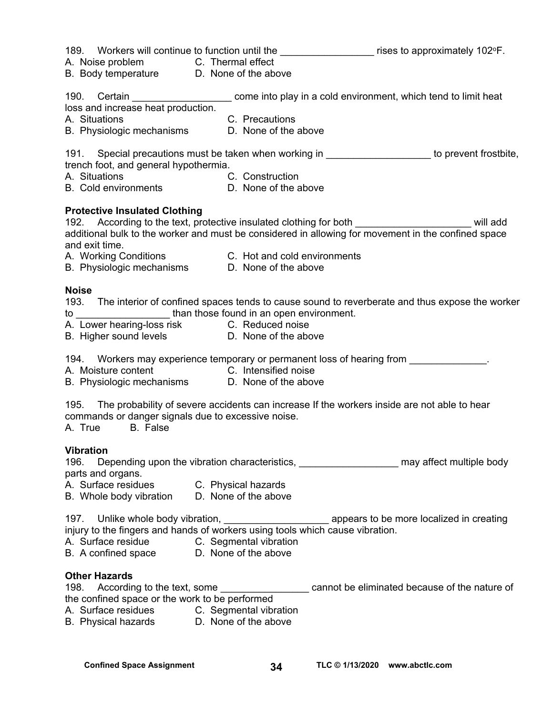|                                                                                                      | 189. Workers will continue to function until the _____________________ rises to approximately 102°F.                                                                                                         |
|------------------------------------------------------------------------------------------------------|--------------------------------------------------------------------------------------------------------------------------------------------------------------------------------------------------------------|
| A. Noise problem C. Thermal effect<br>B. Body temperature  D. None of the above                      |                                                                                                                                                                                                              |
|                                                                                                      |                                                                                                                                                                                                              |
|                                                                                                      | 190. Certain __________________________ come into play in a cold environment, which tend to limit heat                                                                                                       |
| loss and increase heat production.                                                                   |                                                                                                                                                                                                              |
|                                                                                                      |                                                                                                                                                                                                              |
|                                                                                                      |                                                                                                                                                                                                              |
| trench foot, and general hypothermia.                                                                | 191. Special precautions must be taken when working in <b>Commission Contract Contract</b> to prevent frostbite,                                                                                             |
|                                                                                                      |                                                                                                                                                                                                              |
|                                                                                                      |                                                                                                                                                                                                              |
| <b>Protective Insulated Clothing</b>                                                                 |                                                                                                                                                                                                              |
|                                                                                                      |                                                                                                                                                                                                              |
|                                                                                                      | 192. According to the text, protective insulated clothing for both __________________________will add<br>additional bulk to the worker and must be considered in allowing for movement in the confined space |
| and exit time.                                                                                       |                                                                                                                                                                                                              |
|                                                                                                      |                                                                                                                                                                                                              |
|                                                                                                      |                                                                                                                                                                                                              |
| <b>Noise</b>                                                                                         |                                                                                                                                                                                                              |
|                                                                                                      | 193. The interior of confined spaces tends to cause sound to reverberate and thus expose the worker                                                                                                          |
| to ______________________than those found in an open environment.                                    |                                                                                                                                                                                                              |
| A. Lower hearing-loss risk     C. Reduced noise<br>B. Higher sound levels       D. None of the above |                                                                                                                                                                                                              |
|                                                                                                      |                                                                                                                                                                                                              |
|                                                                                                      | 194. Workers may experience temporary or permanent loss of hearing from ______________.                                                                                                                      |
|                                                                                                      |                                                                                                                                                                                                              |
|                                                                                                      |                                                                                                                                                                                                              |
| commands or danger signals due to excessive noise.<br>A. True B. False                               | 195. The probability of severe accidents can increase If the workers inside are not able to hear                                                                                                             |
| Vibration                                                                                            |                                                                                                                                                                                                              |
|                                                                                                      | 196. Depending upon the vibration characteristics, ______________________ may affect multiple body                                                                                                           |
| parts and organs.                                                                                    |                                                                                                                                                                                                              |
| A. Surface residues C. Physical hazards                                                              |                                                                                                                                                                                                              |
| B. Whole body vibration D. None of the above                                                         |                                                                                                                                                                                                              |
|                                                                                                      |                                                                                                                                                                                                              |
| A. Surface residue     C. Segmental vibration<br>B. A confined space     D. None of the above        |                                                                                                                                                                                                              |
|                                                                                                      |                                                                                                                                                                                                              |
| <b>Other Hazards</b>                                                                                 |                                                                                                                                                                                                              |
|                                                                                                      | 198. According to the text, some ______________________ cannot be eliminated because of the nature of                                                                                                        |
| the confined space or the work to be performed                                                       |                                                                                                                                                                                                              |
| A. Surface residues C. Segmental vibration                                                           |                                                                                                                                                                                                              |
| B. Physical hazards <b>D. None of the above</b>                                                      |                                                                                                                                                                                                              |
|                                                                                                      |                                                                                                                                                                                                              |

**Confined Space Assignment 34 TLC © 1/13/2020 www.abctlc.com**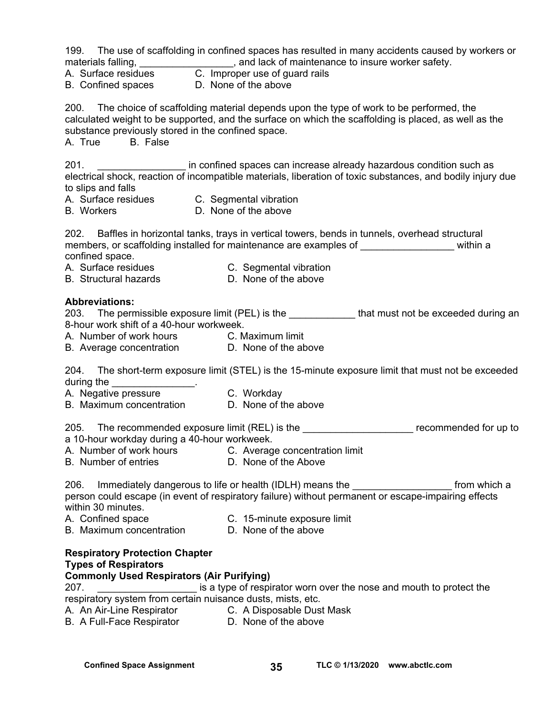199. The use of scaffolding in confined spaces has resulted in many accidents caused by workers or materials falling, materials falling, the state of maintenance to insure worker safety.

- A. Surface residues C. Improper use of guard rails
- B. Confined spaces D. None of the above

200. The choice of scaffolding material depends upon the type of work to be performed, the calculated weight to be supported, and the surface on which the scaffolding is placed, as well as the substance previously stored in the confined space.

A. True B. False

201. \_\_\_\_\_\_\_\_\_\_\_\_\_\_\_\_ in confined spaces can increase already hazardous condition such as electrical shock, reaction of incompatible materials, liberation of toxic substances, and bodily injury due to slips and falls

- 
- A. Surface residues C. Segmental vibration
- B. Workers D. None of the above

202. Baffles in horizontal tanks, trays in vertical towers, bends in tunnels, overhead structural members, or scaffolding installed for maintenance are examples of  $\blacksquare$  within a confined space.

- A. Surface residues C. Segmental vibration
	-
- 
- B. Structural hazards **D. None of the above**

#### **Abbreviations:**

203. The permissible exposure limit (PEL) is the that must not be exceeded during an 8-hour work shift of a 40-hour workweek.

A. Number of work hours C. Maximum limit

B. Average concentration **D.** None of the above

204. The short-term exposure limit (STEL) is the 15-minute exposure limit that must not be exceeded during the

- A. Negative pressure **C. Workday**
- B. Maximum concentration D. None of the above

205. The recommended exposure limit (REL) is the \_\_\_\_\_\_\_\_\_\_\_\_\_\_\_\_\_\_\_\_\_\_\_\_ recommended for up to a 10-hour workday during a 40-hour workweek.

- A. Number of work hours **C.** Average concentration limit
- B. Number of entries **D.** None of the Above

206. Immediately dangerous to life or health (IDLH) means the **the contact of the state of the state** from which a person could escape (in event of respiratory failure) without permanent or escape-impairing effects within 30 minutes.<br>A. Confined space

- A. Confined space **C. 15-minute exposure limit**
- B. Maximum concentration D. None of the above

#### **Respiratory Protection Chapter Types of Respirators**

#### **Commonly Used Respirators (Air Purifying)**

207. \_\_\_\_\_\_\_\_\_\_\_\_\_\_\_\_\_\_ is a type of respirator worn over the nose and mouth to protect the respiratory system from certain nuisance dusts, mists, etc.

- A. An Air-Line Respirator **C. A Disposable Dust Mask**
- B. A Full-Face Respirator **D. None of the above**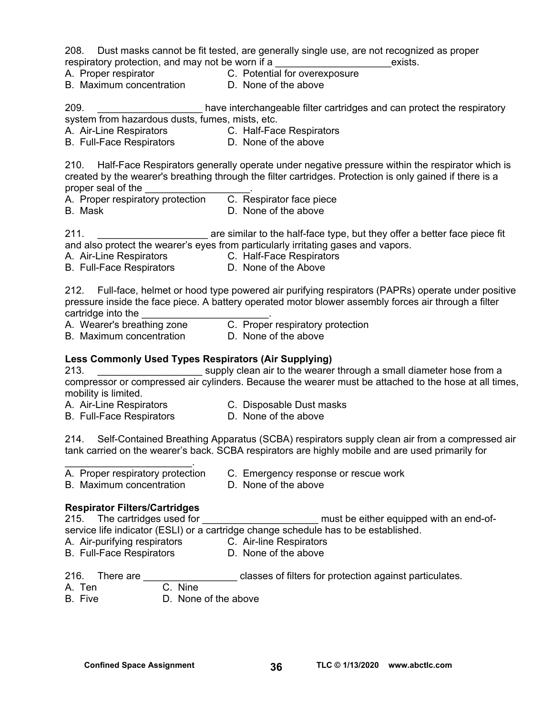208. Dust masks cannot be fit tested, are generally single use, are not recognized as proper respiratory protection, and may not be worn if a **Example 20** exists.

- 
- A. Proper respirator C. Potential for overexposure
- B. Maximum concentration D. None of the above
- 

209. \_\_\_\_\_\_\_\_\_\_\_\_\_\_\_\_\_\_\_ have interchangeable filter cartridges and can protect the respiratory system from hazardous dusts, fumes, mists, etc.

A. Air-Line Respirators **C. Half-Face Respirators** 

B. Full-Face Respirators D. None of the above

210. Half-Face Respirators generally operate under negative pressure within the respirator which is created by the wearer's breathing through the filter cartridges. Protection is only gained if there is a proper seal of the

A. Proper respiratory protection C. Respirator face piece B. Mask D. None of the above

211. **Example 211. 211. Example 211. are similar to the half-face type, but they offer a better face piece fit** and also protect the wearer's eyes from particularly irritating gases and vapors.

- A. Air-Line Respirators **C. Half-Face Respirators**
- B. Full-Face Respirators **D. None of the Above**

212. Full-face, helmet or hood type powered air purifying respirators (PAPRs) operate under positive pressure inside the face piece. A battery operated motor blower assembly forces air through a filter cartridge into the

A. Wearer's breathing zone C. Proper respiratory protection

B. Maximum concentration D. None of the above

#### **Less Commonly Used Types Respirators (Air Supplying)**

213. **Example 213.** Supply clean air to the wearer through a small diameter hose from a compressor or compressed air cylinders. Because the wearer must be attached to the hose at all times, mobility is limited.

- A. Air-Line Respirators **C. Disposable Dust masks** 
	-
- B. Full-Face Respirators D. None of the above

214. Self-Contained Breathing Apparatus (SCBA) respirators supply clean air from a compressed air tank carried on the wearer's back. SCBA respirators are highly mobile and are used primarily for

- A. Proper respiratory protection C. Emergency response or rescue work
- B. Maximum concentration D. None of the above

 $\mathcal{L}_\text{max}$  and  $\mathcal{L}_\text{max}$  and  $\mathcal{L}_\text{max}$ 

#### **Respirator Filters/Cartridges**

215. The cartridges used for \_\_\_\_\_\_\_\_\_\_\_\_\_\_\_\_\_\_\_\_\_\_\_\_ must be either equipped with an end-of-

service life indicator (ESLI) or a cartridge change schedule has to be established.

- A. Air-purifying respirators C. Air-line Respirators
- B. Full-Face Respirators D. None of the above
- 216. There are **Exercise 216.** There are **abulation** classes of filters for protection against particulates.
- A. Ten C. Nine
- B. Five D. None of the above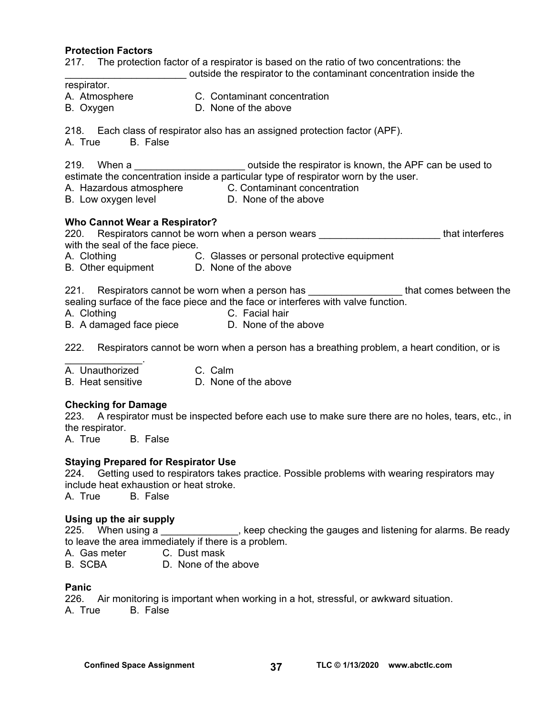#### **Protection Factors**

217. The protection factor of a respirator is based on the ratio of two concentrations: the

\_\_\_\_\_\_\_\_\_\_\_\_\_\_\_\_\_\_\_\_\_\_ outside the respirator to the contaminant concentration inside the

- respirator. A. Atmosphere C. Contaminant concentration
- B. Oxygen D. None of the above

218. Each class of respirator also has an assigned protection factor (APF).

A. True B. False

219. When a **Exercise 219.** Outside the respirator is known, the APF can be used to estimate the concentration inside a particular type of respirator worn by the user.

- A. Hazardous atmosphere **C. Contaminant concentration**
- B. Low oxygen level **D.** None of the above

#### **Who Cannot Wear a Respirator?**

220. Respirators cannot be worn when a person wears **the contact of the interferes** with the seal of the face piece.

- A. Clothing C. Glasses or personal protective equipment
- B. Other equipment D. None of the above

221. Respirators cannot be worn when a person has \_\_\_\_\_\_\_\_\_\_\_\_\_\_\_\_\_\_\_\_\_\_that comes between the sealing surface of the face piece and the face or interferes with valve function.

- A. Clothing C. Facial hair
- B. A damaged face piece D. None of the above

222. Respirators cannot be worn when a person has a breathing problem, a heart condition, or is

 $\mathcal{L}=\mathcal{L}^{\mathcal{L}}$ A. Unauthorized C. Calm

B. Heat sensitive D. None of the above

#### **Checking for Damage**

223. A respirator must be inspected before each use to make sure there are no holes, tears, etc., in the respirator.

A. True B. False

#### **Staying Prepared for Respirator Use**

224. Getting used to respirators takes practice. Possible problems with wearing respirators may include heat exhaustion or heat stroke.

A. True B. False

#### **Using up the air supply**

225. When using a metal with the setting the gauges and listening for alarms. Be ready to leave the area immediately if there is a problem.

A. Gas meter C. Dust mask

B. SCBA D. None of the above

#### **Panic**

226. Air monitoring is important when working in a hot, stressful, or awkward situation. A. True B. False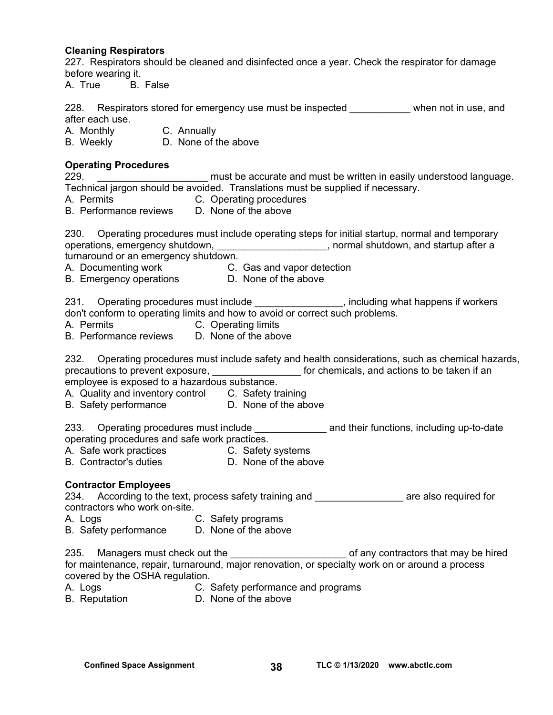#### **Cleaning Respirators**

227. Respirators should be cleaned and disinfected once a year. Check the respirator for damage before wearing it.

A. True B. False

228. Respirators stored for emergency use must be inspected when not in use, and after each use.

A. Monthly C. Annually

B. Weekly D. None of the above

#### **Operating Procedures**

229. **Example 229.** Example 229. The must be accurate and must be written in easily understood language. Technical jargon should be avoided. Translations must be supplied if necessary.

- A. Permits C. Operating procedures
- B. Performance reviews D. None of the above

230. Operating procedures must include operating steps for initial startup, normal and temporary operations, emergency shutdown, \_\_\_\_\_\_\_\_\_\_\_\_\_\_\_\_\_\_\_\_\_, normal shutdown, and startup after a

turnaround or an emergency shutdown.

- A. Documenting work C. Gas and vapor detection
- B. Emergency operations D. None of the above

231. Operating procedures must include **the enducated metallic system** procedures must include the structure of p don't conform to operating limits and how to avoid or correct such problems.

- A. Permits C. Operating limits
- B. Performance reviews D. None of the above

232. Operating procedures must include safety and health considerations, such as chemical hazards, precautions to prevent exposure, the state of the for chemicals, and actions to be taken if an

employee is exposed to a hazardous substance.

- A. Quality and inventory control C. Safety training
- B. Safety performance D. None of the above

233. Operating procedures must include \_\_\_\_\_\_\_\_\_\_\_\_\_\_\_\_ and their functions, including up-to-date operating procedures and safe work practices.

- A. Safe work practices C. Safety systems
- B. Contractor's duties **D.** None of the above

#### **Contractor Employees**

234. According to the text, process safety training and **Example 234.** According to the text, process safety training and contractors who work on-site.

- A. Logs **C. Safety programs**
- B. Safety performance D. None of the above

235. Managers must check out the **witch and the manufature of any contractors** that may be hired for maintenance, repair, turnaround, major renovation, or specialty work on or around a process covered by the OSHA regulation.

- A. Logs **C.** Safety performance and programs
- B. Reputation D. None of the above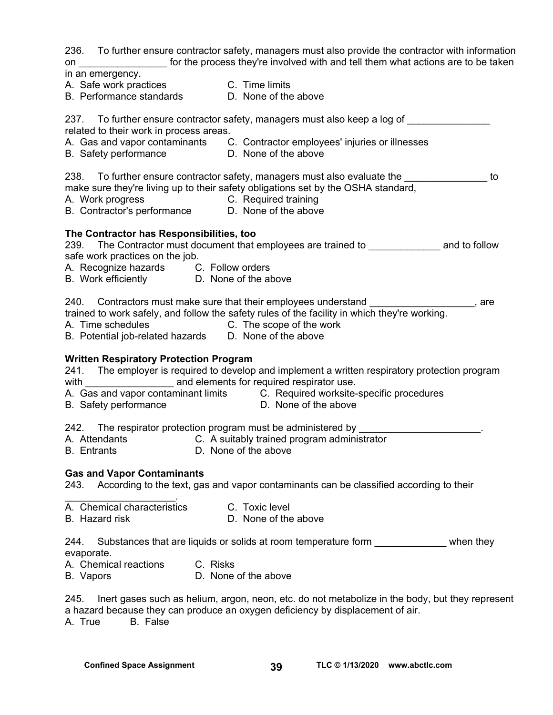236. To further ensure contractor safety, managers must also provide the contractor with information on **the process they're involved with and tell them what actions are to be taken** 

in an emergency.

A. Safe work practices C. Time limits

B. Performance standards D. None of the above

237. To further ensure contractor safety, managers must also keep a log of related to their work in process areas. A. Gas and vapor contaminants C. Contractor employees' injuries or illnesses B. Safety performance D. None of the above 238. To further ensure contractor safety, managers must also evaluate the **Theorem 2018** to make sure they're living up to their safety obligations set by the OSHA standard,

- A. Work progress C. Required training
- B. Contractor's performance D. None of the above

#### **The Contractor has Responsibilities, too**

239. The Contractor must document that employees are trained to **Example 239.** The Contractor must document that employees are trained to safe work practices on the job.

- A. Recognize hazards C. Follow orders
- B. Work efficiently D. None of the above

240. Contractors must make sure that their employees understand \_\_\_\_\_\_\_\_\_\_\_\_\_\_\_\_\_

trained to work safely, and follow the safety rules of the facility in which they're working.

A. Time schedules C. The scope of the work

B. Potential job-related hazards D. None of the above

#### **Written Respiratory Protection Program**

241. The employer is required to develop and implement a written respiratory protection program with **EXEC and elements for required respirator use.** 

- A. Gas and vapor contaminant limits C. Required worksite-specific procedures
- B. Safety performance D. None of the above

242. The respirator protection program must be administered by

- A. Attendants C. A suitably trained program administrator
- B. Entrants D. None of the above

#### **Gas and Vapor Contaminants**

243. According to the text, gas and vapor contaminants can be classified according to their

- $\mathcal{L}_\text{max}$  and  $\mathcal{L}_\text{max}$  and  $\mathcal{L}_\text{max}$ A. Chemical characteristics C. Toxic level
- B. Hazard risk D. None of the above

244. Substances that are liquids or solids at room temperature form entity when they evaporate.

A. Chemical reactions C. Risks

B. Vapors D. None of the above

245. Inert gases such as helium, argon, neon, etc. do not metabolize in the body, but they represent a hazard because they can produce an oxygen deficiency by displacement of air. A. True B. False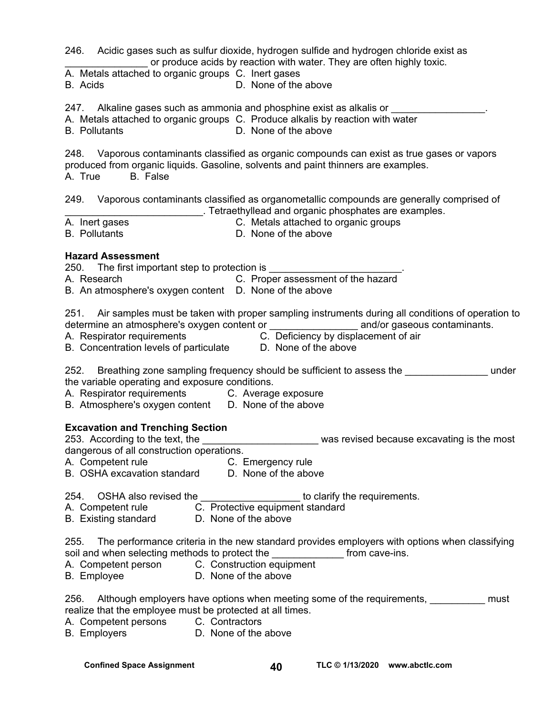246. Acidic gases such as sulfur dioxide, hydrogen sulfide and hydrogen chloride exist as or produce acids by reaction with water. They are often highly toxic.

A. Metals attached to organic groups C. Inert gases

B. Acids D. None of the above

247. Alkaline gases such as ammonia and phosphine exist as alkalis or \_\_\_\_\_\_\_\_\_\_\_

A. Metals attached to organic groups C. Produce alkalis by reaction with water

B. Pollutants D. None of the above

248. Vaporous contaminants classified as organic compounds can exist as true gases or vapors produced from organic liquids. Gasoline, solvents and paint thinners are examples. A. True B. False

249. Vaporous contaminants classified as organometallic compounds are generally comprised of \_\_\_\_\_\_\_\_\_\_\_\_\_\_\_\_\_\_\_\_\_\_\_\_\_. Tetraethyllead and organic phosphates are examples.

A. Inert gasesC. Metals attached to organic groups

B. Pollutants D. None of the above

#### **Hazard Assessment**

250. The first important step to protection is

A. Research C. Proper assessment of the hazard

B. An atmosphere's oxygen content D. None of the above

251. Air samples must be taken with proper sampling instruments during all conditions of operation to determine an atmosphere's oxygen content or example and/or gaseous contaminants.

A. Respirator requirements C. Deficiency by displacement of air

B. Concentration levels of particulate D. None of the above

252. Breathing zone sampling frequency should be sufficient to assess the example in the under the variable operating and exposure conditions.

A. Respirator requirements C. Average exposure

B. Atmosphere's oxygen content D. None of the above

#### **Excavation and Trenching Section**

253. According to the text, the \_\_\_\_\_\_\_\_\_\_\_\_\_\_\_\_\_\_\_\_\_\_\_\_\_\_ was revised because excavating is the most dangerous of all construction operations.

- A. Competent rule **C. Emergency rule**
- B. OSHA excavation standard D. None of the above

254. OSHA also revised the **the contract of the contract of the requirements.** 

- A. Competent rule **C.** Protective equipment standard
- B. Existing standard D. None of the above

255. The performance criteria in the new standard provides employers with options when classifying soil and when selecting methods to protect the solution of from cave-ins.

- A. Competent person C. Construction equipment
- B. Employee D. None of the above

256. Although employers have options when meeting some of the requirements, 1983 and thust realize that the employee must be protected at all times.

- A. Competent persons C. Contractors
- B. Employers **D.** None of the above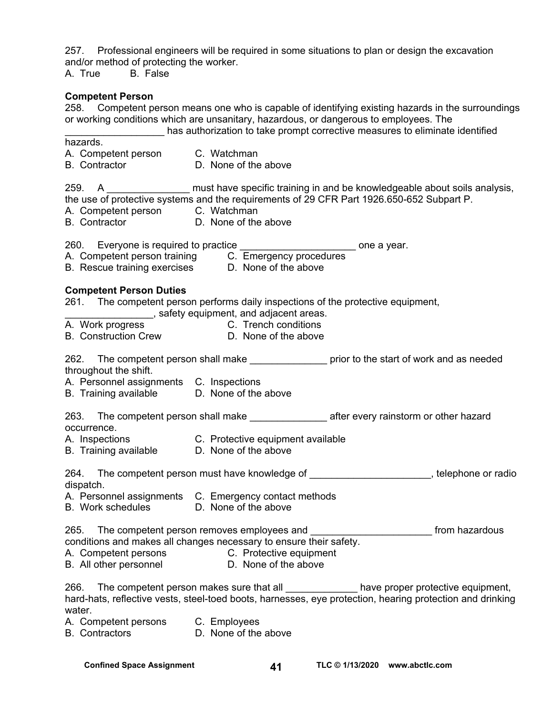257. Professional engineers will be required in some situations to plan or design the excavation and/or method of protecting the worker.

A. True B. False

#### **Competent Person**

258. Competent person means one who is capable of identifying existing hazards in the surroundings or working conditions which are unsanitary, hazardous, or dangerous to employees. The

\_\_\_\_\_\_\_\_\_\_\_\_\_\_\_\_\_\_ has authorization to take prompt corrective measures to eliminate identified

hazards.

- A. Competent person C. Watchman
- B. Contractor D. None of the above

259. A calculated must have specific training in and be knowledgeable about soils analysis, the use of protective systems and the requirements of 29 CFR Part 1926.650-652 Subpart P.

- A. Competent person C. Watchman
- B. Contractor D. None of the above

260. Everyone is required to practice \_\_\_\_\_\_\_\_\_\_\_\_\_\_\_\_\_\_\_\_\_\_\_\_\_\_\_\_\_ one a year.

A. Competent person training C. Emergency procedures B. Rescue training exercises D. None of the above

#### **Competent Person Duties**

261. The competent person performs daily inspections of the protective equipment,

- **waters** and adjacent areas.
- A. Work progress **C. Trench conditions**
- B. Construction Crew **D. None of the above**

262. The competent person shall make **the prior to the start of work and as needed** throughout the shift.

- A. Personnel assignments C. Inspections
- B. Training available D. None of the above

263. The competent person shall make after every rainstorm or other hazard occurrence.

- A. Inspections C. Protective equipment available
- B. Training available D. None of the above

264. The competent person must have knowledge of \_\_\_\_\_\_\_\_\_\_\_\_\_\_\_\_\_\_\_\_\_\_, telephone or radio dispatch.

- A. Personnel assignments C. Emergency contact methods
- B. Work schedules D. None of the above

265. The competent person removes employees and \_\_\_\_\_\_\_\_\_\_\_\_\_\_\_\_\_\_\_\_\_\_\_\_\_\_\_ from hazardous conditions and makes all changes necessary to ensure their safety.

- A. Competent persons **C. Protective equipment**
- B. All other personnel D. None of the above

266. The competent person makes sure that all **example 2001** have proper protective equipment, hard-hats, reflective vests, steel-toed boots, harnesses, eye protection, hearing protection and drinking water.

A. Competent persons C. Employees<br>B. Contractors B. None of the above

B. Contractors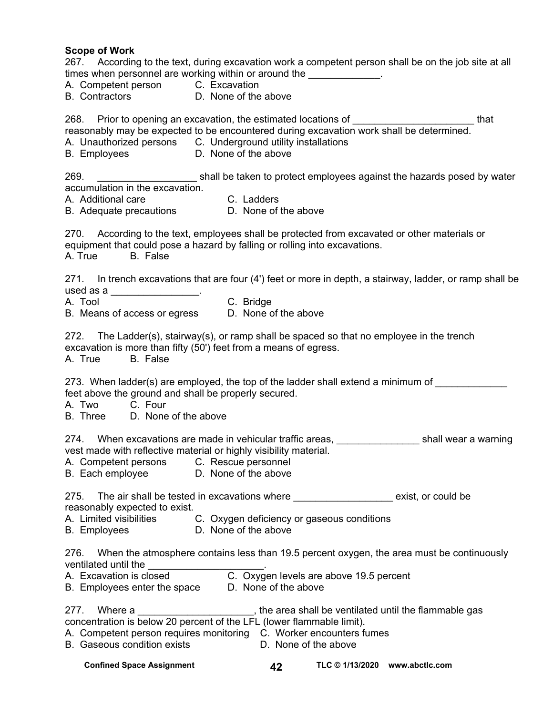#### **Scope of Work**

|                      | times when personnel are working within or around the _____________.<br>A. Competent person C. Excavation                                              |           |                      |                                                                                                                                                                | 267. According to the text, during excavation work a competent person shall be on the job site at all                                                                                                      |      |
|----------------------|--------------------------------------------------------------------------------------------------------------------------------------------------------|-----------|----------------------|----------------------------------------------------------------------------------------------------------------------------------------------------------------|------------------------------------------------------------------------------------------------------------------------------------------------------------------------------------------------------------|------|
|                      | B. Contractors <b>D. None of the above</b>                                                                                                             |           |                      |                                                                                                                                                                |                                                                                                                                                                                                            |      |
| <b>B.</b> Employees  | A. Unauthorized persons C. Underground utility installations<br>D. None of the above                                                                   |           |                      |                                                                                                                                                                | 268. Prior to opening an excavation, the estimated locations of _________________<br>reasonably may be expected to be encountered during excavation work shall be determined.                              | that |
| 269.                 |                                                                                                                                                        |           |                      |                                                                                                                                                                | shall be taken to protect employees against the hazards posed by water                                                                                                                                     |      |
|                      | accumulation in the excavation.<br>A. Additional care <b>C. Ladders</b><br>B. Adequate precautions <b>C. None of the above</b>                         |           |                      |                                                                                                                                                                |                                                                                                                                                                                                            |      |
| A. True B. False     | equipment that could pose a hazard by falling or rolling into excavations.                                                                             |           |                      |                                                                                                                                                                | 270. According to the text, employees shall be protected from excavated or other materials or<br>271. In trench excavations that are four (4') feet or more in depth, a stairway, ladder, or ramp shall be |      |
|                      | used as a ___________________.                                                                                                                         |           |                      |                                                                                                                                                                |                                                                                                                                                                                                            |      |
| A. Tool              | B. Means of access or egress D. None of the above                                                                                                      | C. Bridge |                      |                                                                                                                                                                |                                                                                                                                                                                                            |      |
| A. True B. False     | excavation is more than fifty (50') feet from a means of egress.                                                                                       |           |                      |                                                                                                                                                                | 272. The Ladder(s), stairway(s), or ramp shall be spaced so that no employee in the trench                                                                                                                 |      |
| A. Two C. Four       | feet above the ground and shall be properly secured.<br>B. Three D. None of the above                                                                  |           |                      |                                                                                                                                                                | 273. When ladder(s) are employed, the top of the ladder shall extend a minimum of                                                                                                                          |      |
|                      | vest made with reflective material or highly visibility material.<br>A. Competent persons C. Rescue personnel<br>B. Each employee D. None of the above |           |                      |                                                                                                                                                                | 274. When excavations are made in vehicular traffic areas, _____________________shall wear a warning                                                                                                       |      |
|                      | reasonably expected to exist.<br>B. Employees D. None of the above                                                                                     |           |                      | A. Limited visibilities C. Oxygen deficiency or gaseous conditions                                                                                             | 275. The air shall be tested in excavations where the same sexist, or could be                                                                                                                             |      |
| ventilated until the |                                                                                                                                                        |           |                      | ventilated until the __________________________.<br>A. Excavation is closed _______________________.<br>B. Employees enter the space _____D. None of the above | 276. When the atmosphere contains less than 19.5 percent oxygen, the area must be continuously                                                                                                             |      |
|                      | concentration is below 20 percent of the LFL (lower flammable limit).<br><b>B.</b> Gaseous condition exists                                            |           | D. None of the above | A. Competent person requires monitoring C. Worker encounters fumes                                                                                             | 277. Where a ___________________________, the area shall be ventilated until the flammable gas                                                                                                             |      |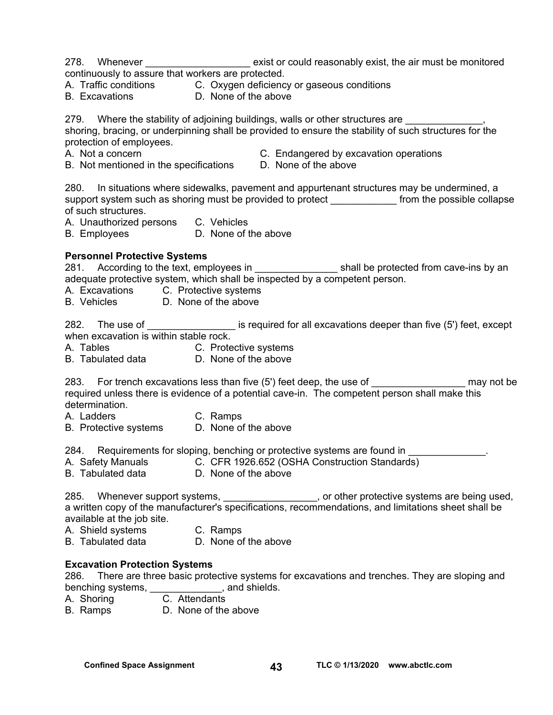- 278. Whenever **Exist or could reasonably exist, the air must be monitored** continuously to assure that workers are protected.
- A. Traffic conditions C. Oxygen deficiency or gaseous conditions
- B. Excavations D. None of the above

279. Where the stability of adjoining buildings, walls or other structures are  $\blacksquare$ ,

shoring, bracing, or underpinning shall be provided to ensure the stability of such structures for the protection of employees.

- 
- A. Not a concern **C.** Endangered by excavation operations
- B. Not mentioned in the specifications D. None of the above
- 

280. In situations where sidewalks, pavement and appurtenant structures may be undermined, a support system such as shoring must be provided to protect from the possible collapse of such structures.

- A. Unauthorized persons C. Vehicles
- B. Employees D. None of the above

#### **Personnel Protective Systems**

281. According to the text, employees in \_\_\_\_\_\_\_\_\_\_\_\_\_\_\_ shall be protected from cave-ins by an adequate protective system, which shall be inspected by a competent person.

A. Excavations C. Protective systems

B. Vehicles D. None of the above

282. The use of \_\_\_\_\_\_\_\_\_\_\_\_\_\_\_\_\_\_\_\_\_ is required for all excavations deeper than five (5') feet, except when excavation is within stable rock.

A. Tables **C. Protective systems** B. Tabulated data D. None of the above

283. For trench excavations less than five (5') feet deep, the use of \_\_\_\_\_\_\_\_\_\_\_\_\_\_\_\_\_\_\_\_\_\_ may not be required unless there is evidence of a potential cave-in. The competent person shall make this determination.

- A. Ladders C. Ramps
- B. Protective systems D. None of the above

284. Requirements for sloping, benching or protective systems are found in

- A. Safety Manuals C. CFR 1926.652 (OSHA Construction Standards)
- B. Tabulated data D. None of the above

285. Whenever support systems, 285. Note that protective systems are being used, a written copy of the manufacturer's specifications, recommendations, and limitations sheet shall be available at the job site.

A. Shield systems C. Ramps

B. Tabulated data D. None of the above

#### **Excavation Protection Systems**

286. There are three basic protective systems for excavations and trenches. They are sloping and benching systems, \_\_\_\_\_\_\_\_\_\_\_\_\_\_, and shields.

A. Shoring **C. Attendants** 

B. Ramps D. None of the above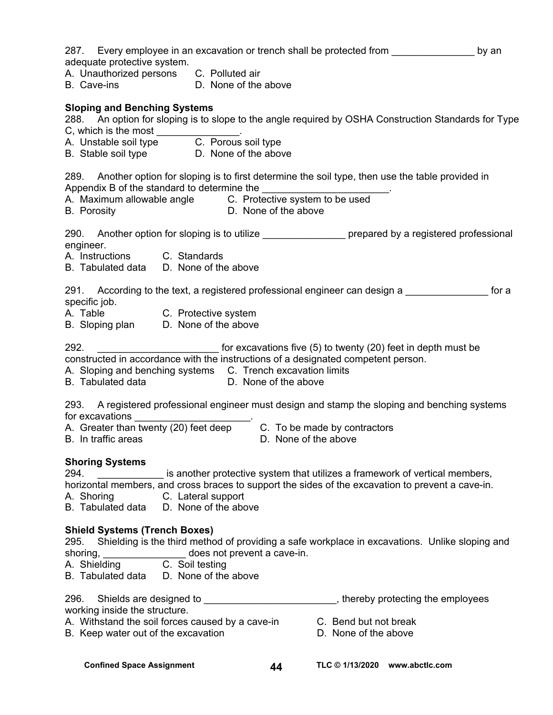| 287. Every employee in an excavation or trench shall be protected from<br>adequate protective system.                                                                        |                             |                       | by an                                                                                          |
|------------------------------------------------------------------------------------------------------------------------------------------------------------------------------|-----------------------------|-----------------------|------------------------------------------------------------------------------------------------|
| A. Unauthorized persons C. Polluted air<br>B. Cave-ins D. None of the above                                                                                                  |                             |                       |                                                                                                |
| <b>Sloping and Benching Systems</b><br>288. An option for sloping is to slope to the angle required by OSHA Construction Standards for Type                                  |                             |                       |                                                                                                |
| C, which is the most<br>A. Unstable soil type<br>C. Porous soil type                                                                                                         |                             |                       |                                                                                                |
| B. Stable soil type D. None of the above                                                                                                                                     |                             |                       |                                                                                                |
| 289. Another option for sloping is to first determine the soil type, then use the table provided in                                                                          |                             |                       |                                                                                                |
|                                                                                                                                                                              |                             |                       |                                                                                                |
| 290. Another option for sloping is to utilize the prepared by a registered professional<br>engineer.                                                                         |                             |                       |                                                                                                |
| A. Instructions C. Standards<br>B. Tabulated data D. None of the above                                                                                                       |                             |                       |                                                                                                |
| 291. According to the text, a registered professional engineer can design a<br>specific job.                                                                                 |                             |                       | for a                                                                                          |
| A. Table C. Protective system<br>B. Sloping plan D. None of the above                                                                                                        |                             |                       |                                                                                                |
| 292.                                                                                                                                                                         |                             |                       | for excavations five (5) to twenty (20) feet in depth must be                                  |
| constructed in accordance with the instructions of a designated competent person.<br>A. Sloping and benching systems C. Trench excavation limits<br><b>B.</b> Tabulated data | D. None of the above        |                       |                                                                                                |
| 293. A registered professional engineer must design and stamp the sloping and benching systems<br>for excavations                                                            |                             |                       |                                                                                                |
| A. Greater than twenty (20) feet deep C. To be made by contractors<br>B. In traffic areas                                                                                    |                             | D. None of the above  |                                                                                                |
| <b>Shoring Systems</b>                                                                                                                                                       |                             |                       |                                                                                                |
| 294.<br>horizontal members, and cross braces to support the sides of the excavation to prevent a cave-in.<br>C. Lateral support<br>A. Shoring                                |                             |                       | is another protective system that utilizes a framework of vertical members,                    |
| B. Tabulated data D. None of the above                                                                                                                                       |                             |                       |                                                                                                |
| <b>Shield Systems (Trench Boxes)</b>                                                                                                                                         |                             |                       |                                                                                                |
| 295.                                                                                                                                                                         |                             |                       | Shielding is the third method of providing a safe workplace in excavations. Unlike sloping and |
| shoring,<br>A. Shielding C. Soil testing                                                                                                                                     | does not prevent a cave-in. |                       |                                                                                                |
| B. Tabulated data                                                                                                                                                            | D. None of the above        |                       |                                                                                                |
| 296.<br>Shields are designed to _______________________________, thereby protecting the employees<br>working inside the structure.                                           |                             |                       |                                                                                                |
| A. Withstand the soil forces caused by a cave-in                                                                                                                             |                             | C. Bend but not break |                                                                                                |
| B. Keep water out of the excavation                                                                                                                                          |                             | D. None of the above  |                                                                                                |
| <b>Confined Space Assignment</b>                                                                                                                                             | 44                          |                       | TLC © 1/13/2020 www.abctlc.com                                                                 |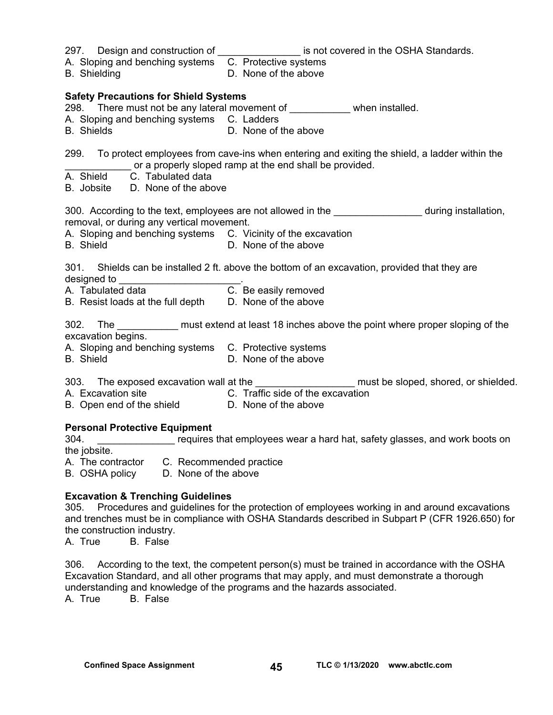| A. Sloping and benching systems C. Protective systems<br><b>B.</b> Shielding                           | 297. Design and construction of the same is not covered in the OSHA Standards.<br>D. None of the above                                                       |
|--------------------------------------------------------------------------------------------------------|--------------------------------------------------------------------------------------------------------------------------------------------------------------|
| <b>Safety Precautions for Shield Systems</b>                                                           |                                                                                                                                                              |
|                                                                                                        | 298. There must not be any lateral movement of ____________ when installed.                                                                                  |
| A. Sloping and benching systems C. Ladders<br><b>B.</b> Shields                                        | D. None of the above                                                                                                                                         |
| C. Tabulated data<br>A. Shield                                                                         | 299. To protect employees from cave-ins when entering and exiting the shield, a ladder within the<br>or a properly sloped ramp at the end shall be provided. |
| B. Jobsite D. None of the above                                                                        |                                                                                                                                                              |
| removal, or during any vertical movement.                                                              | 300. According to the text, employees are not allowed in the <b>Sandax Eduardia</b> during installation,                                                     |
| A. Sloping and benching systems C. Vicinity of the excavation<br><b>B.</b> Shield                      | D. None of the above                                                                                                                                         |
| 301.                                                                                                   | Shields can be installed 2 ft. above the bottom of an excavation, provided that they are                                                                     |
| B. Resist loads at the full depth D. None of the above                                                 |                                                                                                                                                              |
| excavation begins.                                                                                     | 302. The _____________ must extend at least 18 inches above the point where proper sloping of the                                                            |
| A. Sloping and benching systems C. Protective systems<br><b>B.</b> Shield                              | D. None of the above                                                                                                                                         |
|                                                                                                        | 303. The exposed excavation wall at the ______________________ must be sloped, shored, or shielded.                                                          |
| A. Excavation site C. Traffic side of the excavation<br>B. Open end of the shield D. None of the above |                                                                                                                                                              |
|                                                                                                        |                                                                                                                                                              |
| <b>Personal Protective Equipment</b><br>304.                                                           | requires that employees wear a hard hat, safety glasses, and work boots on                                                                                   |
| the jobsite.<br>A. The contractor C. Recommended practice                                              |                                                                                                                                                              |
| B. OSHA policy D. None of the above                                                                    |                                                                                                                                                              |
| <b>Excavation &amp; Trenching Guidelines</b>                                                           | 305     Procedures and quidelines for the protection of employees working in and around excavations                                                          |

305. Procedures and guidelines for the protection of employees working in and around excavations and trenches must be in compliance with OSHA Standards described in Subpart P (CFR 1926.650) for the construction industry.<br>
A. True B. False

B. False

306. According to the text, the competent person(s) must be trained in accordance with the OSHA Excavation Standard, and all other programs that may apply, and must demonstrate a thorough understanding and knowledge of the programs and the hazards associated.

A. True B. False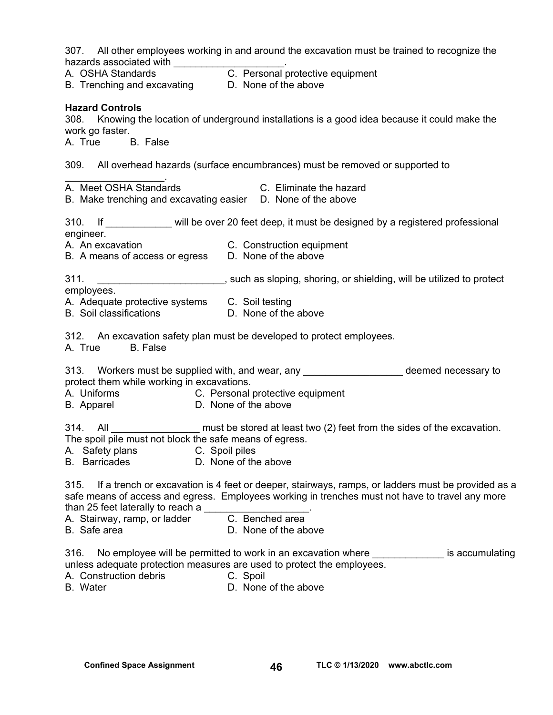307. All other employees working in and around the excavation must be trained to recognize the hazards associated with \_\_\_\_\_\_\_\_\_\_\_\_\_\_\_\_\_\_\_\_\_.

|                                                                                                                               | 307. All other employees working in and around the excavation must be trained to recognize the                                                                                                                                                  |
|-------------------------------------------------------------------------------------------------------------------------------|-------------------------------------------------------------------------------------------------------------------------------------------------------------------------------------------------------------------------------------------------|
| hazards associated with<br>A. OSHA Standards<br>B. Trenching and excavating  D. None of the above                             |                                                                                                                                                                                                                                                 |
| <b>Hazard Controls</b><br>work go faster.<br>A. True B. False                                                                 | 308. Knowing the location of underground installations is a good idea because it could make the                                                                                                                                                 |
|                                                                                                                               | 309. All overhead hazards (surface encumbrances) must be removed or supported to                                                                                                                                                                |
| A. Meet OSHA Standards<br>B. Make trenching and excavating easier D. None of the above                                        | <b>C.</b> Eliminate the hazard                                                                                                                                                                                                                  |
|                                                                                                                               | 310. If ____________ will be over 20 feet deep, it must be designed by a registered professional                                                                                                                                                |
| engineer.<br>A. An excavation C. Construction equipment<br>B. A means of access or egress D. None of the above                |                                                                                                                                                                                                                                                 |
| 311.                                                                                                                          | _______________________________, such as sloping, shoring, or shielding, will be utilized to protect                                                                                                                                            |
| employees.<br>A. Adequate protective systems C. Soil testing<br>B. Soil classifications D. None of the above                  |                                                                                                                                                                                                                                                 |
| <b>B.</b> False<br>A. True                                                                                                    | 312. An excavation safety plan must be developed to protect employees.                                                                                                                                                                          |
| protect them while working in excavations.<br>A. Uniforms C. Personal protective equipment<br>B. Apparel D. None of the above | 313. Workers must be supplied with, and wear, any substance the deemed necessary to                                                                                                                                                             |
| The spoil pile must not block the safe means of egress.<br>A. Safety plans<br><b>B.</b> Barricades                            | 314. All ___________________ must be stored at least two (2) feet from the sides of the excavation.<br>C. Spoil piles<br>D. None of the above                                                                                                   |
| 315.<br>than 25 feet laterally to reach a<br>A. Stairway, ramp, or ladder<br>B. Safe area                                     | If a trench or excavation is 4 feet or deeper, stairways, ramps, or ladders must be provided as a<br>safe means of access and egress. Employees working in trenches must not have to travel any more<br>C. Benched area<br>D. None of the above |
| 316.<br>A. Construction debris                                                                                                | No employee will be permitted to work in an excavation where <u>successive</u><br>is accumulating<br>unless adequate protection measures are used to protect the employees.<br>C. Spoil                                                         |

B. Water **D. None of the above**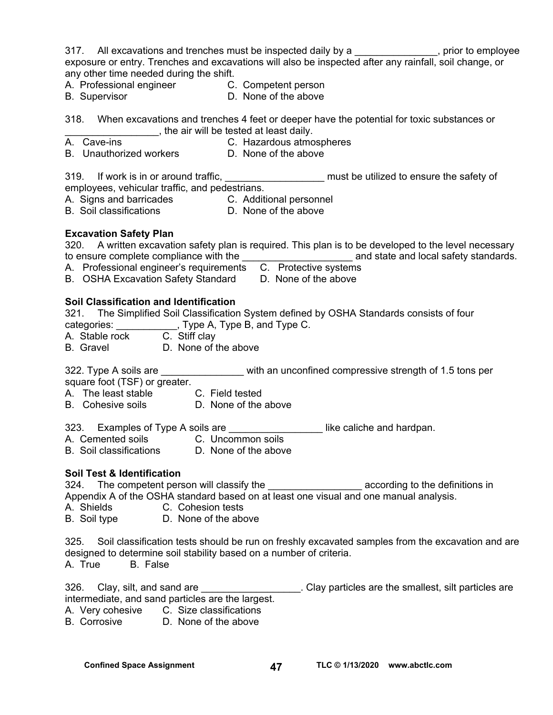317. All excavations and trenches must be inspected daily by a state of the sprior to employee exposure or entry. Trenches and excavations will also be inspected after any rainfall, soil change, or any other time needed during the shift.

A. Professional engineer C. Competent person

B. Supervisor **D.** None of the above

318. When excavations and trenches 4 feet or deeper have the potential for toxic substances or \_\_\_\_\_\_\_\_\_\_\_\_\_\_\_\_\_, the air will be tested at least daily.

- A. Cave-ins **C. Hazardous atmospheres**
- B. Unauthorized workers **D. None of the above**

319. If work is in or around traffic, \_\_\_\_\_\_\_\_\_\_\_\_\_\_\_\_\_\_\_\_\_\_ must be utilized to ensure the safety of

employees, vehicular traffic, and pedestrians.

- A. Signs and barricades C. Additional personnel
- B. Soil classifications D. None of the above

#### **Excavation Safety Plan**

320. A written excavation safety plan is required. This plan is to be developed to the level necessary to ensure complete compliance with the the compliant of the standards.

A. Professional engineer's requirements C. Protective systems

- 
- B. OSHA Excavation Safety Standard D. None of the above

#### **Soil Classification and Identification**

321. The Simplified Soil Classification System defined by OSHA Standards consists of four

categories:  $\qquad \qquad$ , Type A, Type B, and Type C.

A. Stable rock C. Stiff clay

B. Gravel D. None of the above

322. Type A soils are **Exercise 12** with an unconfined compressive strength of 1.5 tons per square foot (TSF) or greater.

- A. The least stable C. Field tested
- B. Cohesive soils **D. None of the above**
- 323. Examples of Type A soils are *\_\_\_\_\_\_\_\_\_\_\_\_\_\_\_\_\_\_\_\_\_\_\_* like caliche and hardpan.
- A. Cemented soils **C. Uncommon soils**
- B. Soil classifications D. None of the above

#### **Soil Test & Identification**

324. The competent person will classify the **Example 2018** according to the definitions in Appendix A of the OSHA standard based on at least one visual and one manual analysis.

- A. Shields C. Cohesion tests
- B. Soil type D. None of the above

325. Soil classification tests should be run on freshly excavated samples from the excavation and are designed to determine soil stability based on a number of criteria. A. True B. False

326. Clay, silt, and sand are \_\_\_\_\_\_\_\_\_\_\_\_\_\_\_\_\_\_. Clay particles are the smallest, silt particles are intermediate, and sand particles are the largest.

- A. Very cohesive C. Size classifications<br>B. Corrosive D. None of the above
- D. None of the above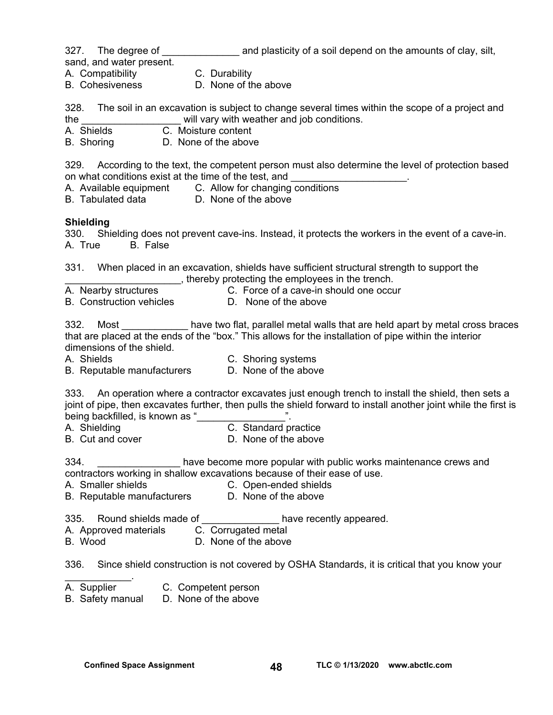327. The degree of **Example 20** and plasticity of a soil depend on the amounts of clay, silt, sand, and water present.

- A. Compatibility C. Durability
- B. Cohesiveness D. None of the above

328. The soil in an excavation is subject to change several times within the scope of a project and the **the contract will vary with weather and job conditions.** 

A. Shields C. Moisture content

B. Shoring D. None of the above

329. According to the text, the competent person must also determine the level of protection based on what conditions exist at the time of the test, and

- A. Available equipment C. Allow for changing conditions<br>B. Tabulated data B. None of the above
- D. None of the above

#### **Shielding**

330. Shielding does not prevent cave-ins. Instead, it protects the workers in the event of a cave-in. A. True B. False

331. When placed in an excavation, shields have sufficient structural strength to support the thereby protecting the employees in the trench.<br>A. Nearby structures **Exercic** C. Force of a cave-in should one occu

C. Force of a cave-in should one occur

B. Construction vehicles **D.** None of the above

332. Most have two flat, parallel metal walls that are held apart by metal cross braces that are placed at the ends of the "box." This allows for the installation of pipe within the interior dimensions of the shield.

- 
- A. Shields C. Shoring systems B. Reputable manufacturers D. None of the above

333. An operation where a contractor excavates just enough trench to install the shield, then sets a joint of pipe, then excavates further, then pulls the shield forward to install another joint while the first is being backfilled, is known as "

- A. Shielding **C.** Standard practice
- B. Cut and cover **D.** None of the above

334. \_\_\_\_\_\_\_\_\_\_\_\_\_\_\_ have become more popular with public works maintenance crews and contractors working in shallow excavations because of their ease of use.

- A. Smaller shields C. Open-ended shields
- B. Reputable manufacturers D. None of the above

335. Round shields made of \_\_\_\_\_\_\_\_\_\_\_\_\_\_\_ have recently appeared.

- A. Approved materials C. Corrugated metal
- B. Wood D. None of the above

336. Since shield construction is not covered by OSHA Standards, it is critical that you know your

- $\mathcal{L}_\text{max}$  . The set of the set of the set of the set of the set of the set of the set of the set of the set of the set of the set of the set of the set of the set of the set of the set of the set of the set of the set A. Supplier C. Competent person
- B. Safety manual D. None of the above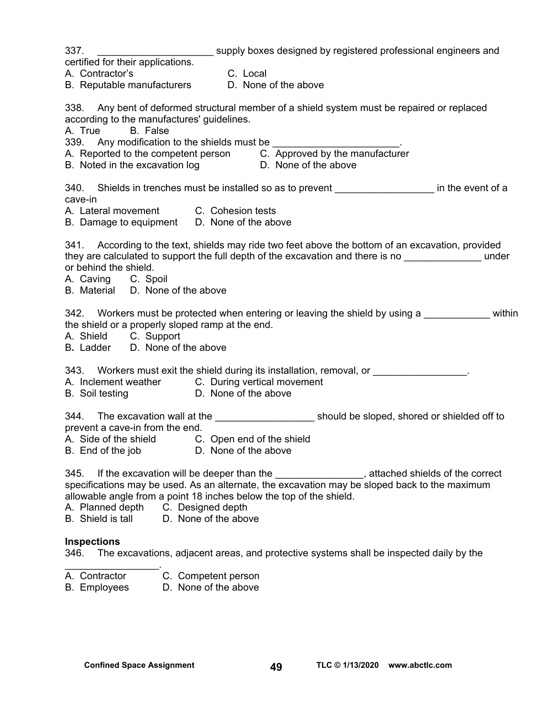| 337.                                                                                  | supply boxes designed by registered professional engineers and                                                                                                                                             |
|---------------------------------------------------------------------------------------|------------------------------------------------------------------------------------------------------------------------------------------------------------------------------------------------------------|
| certified for their applications.                                                     |                                                                                                                                                                                                            |
| A. Contractor's                                                                       | C. Local                                                                                                                                                                                                   |
| B. Reputable manufacturers D. None of the above                                       |                                                                                                                                                                                                            |
|                                                                                       | 338. Any bent of deformed structural member of a shield system must be repaired or replaced                                                                                                                |
| according to the manufactures' guidelines.<br>A. True B. False                        |                                                                                                                                                                                                            |
|                                                                                       | 339. Any modification to the shields must be ________________________.                                                                                                                                     |
|                                                                                       | A. Reported to the competent person C. Approved by the manufacturer                                                                                                                                        |
| B. Noted in the excavation log b D. None of the above                                 |                                                                                                                                                                                                            |
|                                                                                       | 340. Shields in trenches must be installed so as to prevent _____________________ in the event of a                                                                                                        |
| cave-in                                                                               |                                                                                                                                                                                                            |
| A. Lateral movement C. Cohesion tests<br>B. Damage to equipment  D. None of the above |                                                                                                                                                                                                            |
|                                                                                       |                                                                                                                                                                                                            |
|                                                                                       | 341. According to the text, shields may ride two feet above the bottom of an excavation, provided<br>they are calculated to support the full depth of the excavation and there is no _______________ under |
| or behind the shield.                                                                 |                                                                                                                                                                                                            |
| A. Caving C. Spoil                                                                    |                                                                                                                                                                                                            |
| B. Material D. None of the above                                                      |                                                                                                                                                                                                            |
|                                                                                       | 342. Workers must be protected when entering or leaving the shield by using a within                                                                                                                       |
| the shield or a properly sloped ramp at the end.                                      |                                                                                                                                                                                                            |
| A. Shield C. Support                                                                  |                                                                                                                                                                                                            |
| B. Ladder D. None of the above                                                        |                                                                                                                                                                                                            |
|                                                                                       | 343. Workers must exit the shield during its installation, removal, or ________________.                                                                                                                   |
| A. Inclement weather C. During vertical movement                                      |                                                                                                                                                                                                            |
| B. Soil testing D. None of the above                                                  |                                                                                                                                                                                                            |
|                                                                                       | 344. The excavation wall at the _________________________ should be sloped, shored or shielded off to                                                                                                      |
| prevent a cave-in from the end.                                                       |                                                                                                                                                                                                            |
| A. Side of the shield C. Open end of the shield                                       |                                                                                                                                                                                                            |
| B. End of the job D. None of the above                                                |                                                                                                                                                                                                            |
| 345.                                                                                  | If the excavation will be deeper than the <b>with the contact to the contact of the correct</b>                                                                                                            |
|                                                                                       | specifications may be used. As an alternate, the excavation may be sloped back to the maximum                                                                                                              |
| allowable angle from a point 18 inches below the top of the shield.                   |                                                                                                                                                                                                            |
| A. Planned depth C. Designed depth                                                    |                                                                                                                                                                                                            |
| B. Shield is tall<br>D. None of the above                                             |                                                                                                                                                                                                            |
| <b>Inspections</b>                                                                    |                                                                                                                                                                                                            |
| 346.                                                                                  | The excavations, adjacent areas, and protective systems shall be inspected daily by the                                                                                                                    |
| C. Competent person<br>A. Contractor                                                  |                                                                                                                                                                                                            |
| D. None of the above<br><b>B.</b> Employees                                           |                                                                                                                                                                                                            |
|                                                                                       |                                                                                                                                                                                                            |
|                                                                                       |                                                                                                                                                                                                            |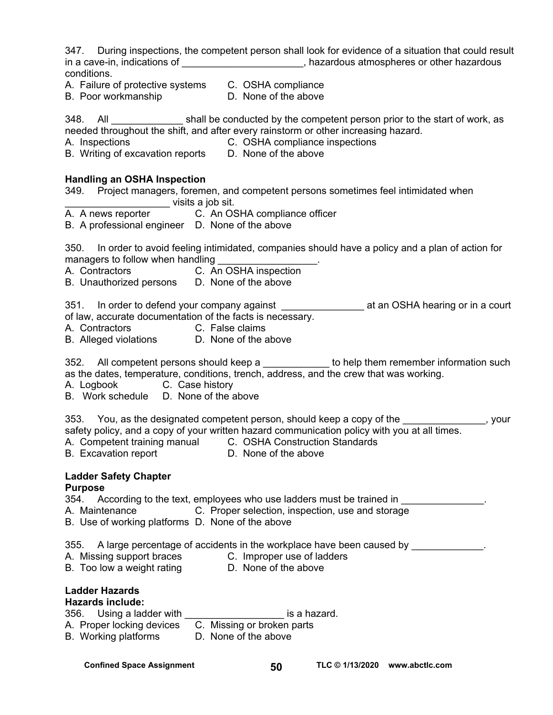347. During inspections, the competent person shall look for evidence of a situation that could result in a cave-in, indications of \_\_\_\_\_\_\_\_\_\_\_\_\_\_\_\_\_\_\_\_\_\_\_, hazardous atmospheres or other hazardous conditions.

- A. Failure of protective systems C. OSHA compliance
- B. Poor workmanship D. None of the above

348. All shall be conducted by the competent person prior to the start of work, as needed throughout the shift, and after every rainstorm or other increasing hazard.

- 
- A. Inspections C. OSHA compliance inspections
- B. Writing of excavation reports D. None of the above

#### **Handling an OSHA Inspection**

349. Project managers, foremen, and competent persons sometimes feel intimidated when \_\_\_\_\_\_\_\_\_\_\_\_\_\_\_\_\_\_\_ visits a job sit.

- A. A news reporter C. An OSHA compliance officer
- B. A professional engineer D. None of the above

350. In order to avoid feeling intimidated, companies should have a policy and a plan of action for managers to follow when handling

- A. Contractors C. An OSHA inspection
- B. Unauthorized persons D. None of the above

351. In order to defend your company against \_\_\_\_\_\_\_\_\_\_\_\_\_\_\_\_\_\_\_\_\_\_\_\_\_\_\_\_\_\_\_\_\_\_\_ at an OSHA hearing or in a court of law, accurate documentation of the facts is necessary.

- A. Contractors C. False claims
- B. Alleged violations D. None of the above

352. All competent persons should keep a \_\_\_\_\_\_\_\_\_\_\_\_ to help them remember information such as the dates, temperature, conditions, trench, address, and the crew that was working.

- A. Logbook C. Case history
- B. Work schedule D. None of the above

353. You, as the designated competent person, should keep a copy of the \_\_\_\_\_\_\_\_\_\_\_\_\_\_, your safety policy, and a copy of your written hazard communication policy with you at all times. A. Competent training manual C. OSHA Construction Standards

B. Excavation report **D. None of the above** 

### **Ladder Safety Chapter**

#### **Purpose**

- 354. According to the text, employees who use ladders must be trained in \_\_\_\_\_\_\_\_\_\_\_\_\_\_.<br>A. Maintenance **C.** Proper selection, inspection, use and storage
- C. Proper selection, inspection, use and storage
- B. Use of working platforms D. None of the above

355. A large percentage of accidents in the workplace have been caused by  $\qquad \qquad \ldots$ 

- A. Missing support braces C. Improper use of ladders
	-
- B. Too low a weight rating **D.** None of the above
- **Ladder Hazards**

#### **Hazards include:**

- where the motival control of the motivation of the motivation of the state of the state of the state of the st<br>356. Using a ladder with
- A. Proper locking devices C. Missing or broken parts
- B. Working platforms D. None of the above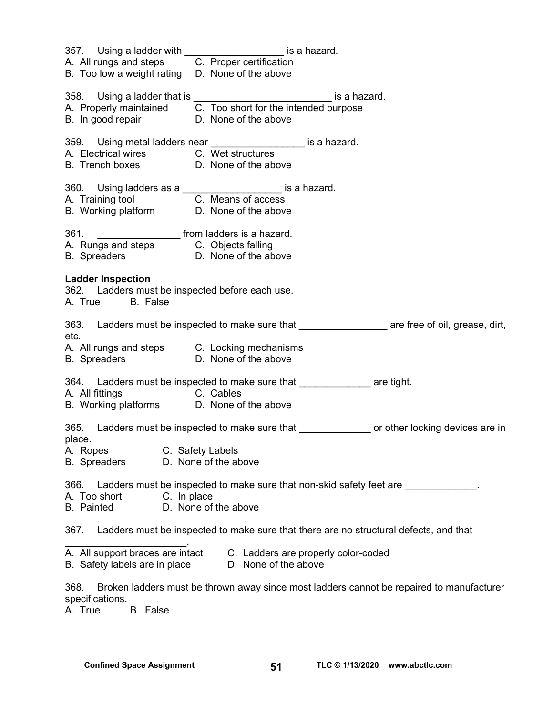|                                                                                                                                  | 357. Using a ladder with _______________________ is a hazard.<br>A. All rungs and steps C. Proper certification<br>B. Too low a weight rating D. None of the above |                                                                                                         |  |
|----------------------------------------------------------------------------------------------------------------------------------|--------------------------------------------------------------------------------------------------------------------------------------------------------------------|---------------------------------------------------------------------------------------------------------|--|
|                                                                                                                                  |                                                                                                                                                                    |                                                                                                         |  |
|                                                                                                                                  | 358. Using a ladder that is _________________________________ is a hazard.                                                                                         |                                                                                                         |  |
|                                                                                                                                  | A. Properly maintained $\overline{C}$ . Too short for the intended purpose<br>B. In good repair $D$ . None of the above                                            |                                                                                                         |  |
|                                                                                                                                  |                                                                                                                                                                    |                                                                                                         |  |
|                                                                                                                                  | 359. Using metal ladders near _____________________ is a hazard.                                                                                                   |                                                                                                         |  |
|                                                                                                                                  | A. Electrical wires C. Wet structures                                                                                                                              |                                                                                                         |  |
|                                                                                                                                  | B. Trench boxes D. None of the above                                                                                                                               |                                                                                                         |  |
|                                                                                                                                  |                                                                                                                                                                    |                                                                                                         |  |
|                                                                                                                                  |                                                                                                                                                                    |                                                                                                         |  |
|                                                                                                                                  | 360. Using ladders as a<br>A. Training tool <b>C. Means of access</b><br>B. Working platform <b>D. None of the above</b>                                           |                                                                                                         |  |
|                                                                                                                                  | 361. ________________________ from ladders is a hazard.                                                                                                            |                                                                                                         |  |
|                                                                                                                                  |                                                                                                                                                                    |                                                                                                         |  |
|                                                                                                                                  | A. Rungs and steps C. Objects falling<br>B. Spreaders D. None of the above                                                                                         |                                                                                                         |  |
| <b>Ladder Inspection</b><br>362. Ladders must be inspected before each use.<br>A. True B. False                                  |                                                                                                                                                                    |                                                                                                         |  |
| etc.                                                                                                                             |                                                                                                                                                                    | 363. Ladders must be inspected to make sure that _______________________ are free of oil, grease, dirt, |  |
|                                                                                                                                  | A. All rungs and steps C. Locking mechanisms                                                                                                                       |                                                                                                         |  |
|                                                                                                                                  | B. Spreaders <b>D. None of the above</b>                                                                                                                           |                                                                                                         |  |
|                                                                                                                                  | 364. Ladders must be inspected to make sure that __________________ are tight.                                                                                     |                                                                                                         |  |
| A. All fittings C. Cables                                                                                                        |                                                                                                                                                                    |                                                                                                         |  |
|                                                                                                                                  | B. Working platforms D. None of the above                                                                                                                          |                                                                                                         |  |
| place.                                                                                                                           |                                                                                                                                                                    | 365. Ladders must be inspected to make sure that ________________ or other locking devices are in       |  |
| A. Ropes C. Safety Labels                                                                                                        |                                                                                                                                                                    |                                                                                                         |  |
| <b>B.</b> Spreaders                                                                                                              | D. None of the above                                                                                                                                               |                                                                                                         |  |
| 366.                                                                                                                             |                                                                                                                                                                    | Ladders must be inspected to make sure that non-skid safety feet are ___________                        |  |
| A. Too short                                                                                                                     | C. In place                                                                                                                                                        |                                                                                                         |  |
| <b>B.</b> Painted                                                                                                                | D. None of the above                                                                                                                                               |                                                                                                         |  |
| 367.                                                                                                                             |                                                                                                                                                                    | Ladders must be inspected to make sure that there are no structural defects, and that                   |  |
| A. All support braces are intact<br>C. Ladders are properly color-coded<br>D. None of the above<br>B. Safety labels are in place |                                                                                                                                                                    |                                                                                                         |  |
|                                                                                                                                  |                                                                                                                                                                    |                                                                                                         |  |

368. Broken ladders must be thrown away since most ladders cannot be repaired to manufacturer specifications.<br>A. True

B. False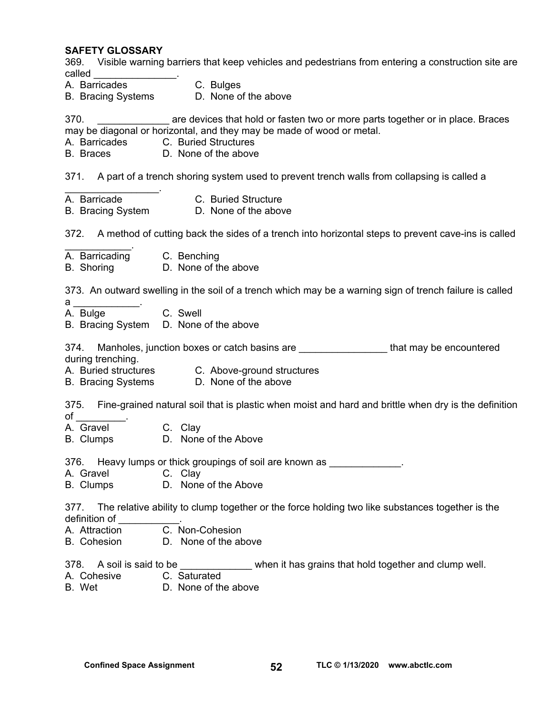#### **SAFETY GLOSSARY**

369. Visible warning barriers that keep vehicles and pedestrians from entering a construction site are called  $\Box$ 

- A. Barricades C. Bulges
- B. Bracing Systems D. None of the above

370. \_\_\_\_\_\_\_\_\_\_\_\_\_ are devices that hold or fasten two or more parts together or in place. Braces may be diagonal or horizontal, and they may be made of wood or metal.

- A. Barricades C. Buried Structures
- B. Braces D. None of the above

371. A part of a trench shoring system used to prevent trench walls from collapsing is called a

- $\mathcal{L}_\text{max}$  . The set of the set of the set of the set of the set of the set of the set of the set of the set of the set of the set of the set of the set of the set of the set of the set of the set of the set of the set A. Barricade C. Buried Structure
- B. Bracing System D. None of the above

372. A method of cutting back the sides of a trench into horizontal steps to prevent cave-ins is called

- $\mathcal{L}_\text{max}$  . The set of the set of the set of the set of the set of the set of the set of the set of the set of the set of the set of the set of the set of the set of the set of the set of the set of the set of the set A. Barricading C. Benching
- B. Shoring D. None of the above

373. An outward swelling in the soil of a trench which may be a warning sign of trench failure is called

- $a$
- A. Bulge C. Swell
- B. Bracing System D. None of the above

374. Manholes, junction boxes or catch basins are **\_\_\_\_\_\_\_\_\_\_\_\_\_\_\_\_\_** that may be encountered during trenching.

- A. Buried structures C. Above-ground structures
- B. Bracing Systems D. None of the above

375. Fine-grained natural soil that is plastic when moist and hard and brittle when dry is the definition  $of \quad$ 

- A. Gravel C. Clay
- B. Clumps D. None of the Above

376. Heavy lumps or thick groupings of soil are known as  $\qquad \qquad$ .

- A. Gravel C. Clay
- B. Clumps D. None of the Above

377. The relative ability to clump together or the force holding two like substances together is the definition of \_\_\_\_\_\_\_\_\_\_\_.

- A. Attraction C. Non-Cohesion
- B. Cohesion D. None of the above
- 378. A soil is said to be  $\blacksquare$  when it has grains that hold together and clump well.
- A. Cohesive C. Saturated
- B. Wet D. None of the above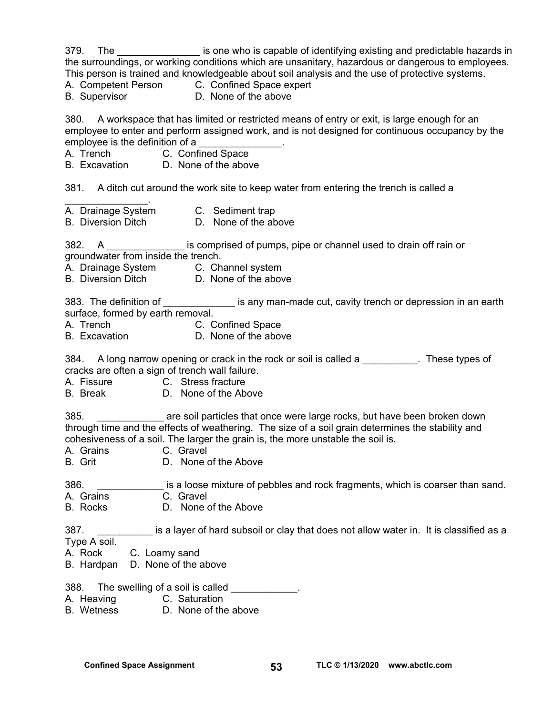379. The same is one who is capable of identifying existing and predictable hazards in the surroundings, or working conditions which are unsanitary, hazardous or dangerous to employees. This person is trained and knowledgeable about soil analysis and the use of protective systems. A. Competent Person C. Confined Space expert B. Supervisor D. None of the above 380. A workspace that has limited or restricted means of entry or exit, is large enough for an employee to enter and perform assigned work, and is not designed for continuous occupancy by the employee is the definition of a \_\_\_\_\_\_\_\_\_\_\_\_\_\_\_. A. Trench C. Confined Space B. Excavation D. None of the above 381. A ditch cut around the work site to keep water from entering the trench is called a  $\mathcal{L}_\text{max}$  and  $\mathcal{L}_\text{max}$ A. Drainage System C. Sediment trap B. Diversion Ditch D. None of the above 382. A \_\_\_\_\_\_\_\_\_\_\_\_\_\_ is comprised of pumps, pipe or channel used to drain off rain or groundwater from inside the trench. A. Drainage System C. Channel system B. Diversion Ditch D. None of the above 383. The definition of **Example 2018** is any man-made cut, cavity trench or depression in an earth surface, formed by earth removal. A. Trench C. Confined Space B. Excavation D. None of the above 384. A long narrow opening or crack in the rock or soil is called a \_\_\_\_\_\_\_\_\_. These types of cracks are often a sign of trench wall failure. A. Fissure C. Stress fracture B. Break D. None of the Above 385. \_\_\_\_\_\_\_\_\_\_\_\_ are soil particles that once were large rocks, but have been broken down through time and the effects of weathering. The size of a soil grain determines the stability and cohesiveness of a soil. The larger the grain is, the more unstable the soil is. A. Grains C. Gravel<br>B. Grit B. None of D. None of the Above 386. **Example 286. Example 28 is a loose mixture of pebbles and rock fragments, which is coarser than sand.** A. Grains C. Gravel B. Rocks D. None of the Above 387. \_\_\_\_\_\_\_\_\_\_ is a layer of hard subsoil or clay that does not allow water in. It is classified as a Type A soil. A. Rock C. Loamy sand B. Hardpan D. None of the above 388. The swelling of a soil is called \_\_\_\_\_\_\_\_\_\_\_. A. Heaving C. Saturation

B. Wetness D. None of the above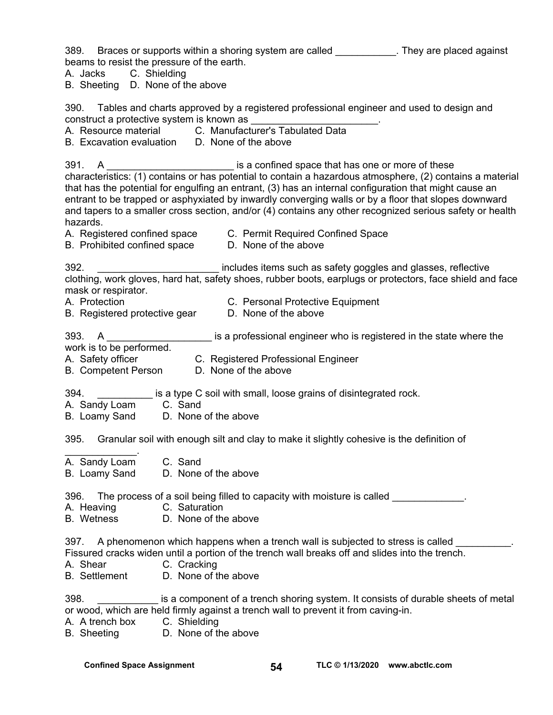389. Braces or supports within a shoring system are called **They are placed against** beams to resist the pressure of the earth. A. Jacks C. Shielding B. Sheeting D. None of the above 390. Tables and charts approved by a registered professional engineer and used to design and construct a protective system is known as A. Resource material C. Manufacturer's Tabulated Data B. Excavation evaluation D. None of the above 391. A **A Example 20 A**  $\blacksquare$  is a confined space that has one or more of these characteristics: (1) contains or has potential to contain a hazardous atmosphere, (2) contains a material that has the potential for engulfing an entrant, (3) has an internal configuration that might cause an entrant to be trapped or asphyxiated by inwardly converging walls or by a floor that slopes downward and tapers to a smaller cross section, and/or (4) contains any other recognized serious safety or health hazards. A. Registered confined space C. Permit Required Confined Space B. Prohibited confined space D. None of the above 392. **Example 392. 392. Example 392. https://wildesfitems such as safety goggles and glasses, reflective** clothing, work gloves, hard hat, safety shoes, rubber boots, earplugs or protectors, face shield and face mask or respirator. A. Protection C. Personal Protective Equipment B. Registered protective gear D. None of the above 393. A **A** Example is a professional engineer who is registered in the state where the work is to be performed. A. Safety officer **C. Registered Professional Engineer** B. Competent Person D. None of the above 394. **Example 2** is a type C soil with small, loose grains of disintegrated rock. A. Sandy Loam C. Sand B. Loamy Sand D. None of the above 395. Granular soil with enough silt and clay to make it slightly cohesive is the definition of  $\frac{1}{2}$ A. Sandy Loam C. Sand B. Loamy Sand D. None of the above 396. The process of a soil being filled to capacity with moisture is called A. Heaving C. Saturation B. Wetness D. None of the above 397. A phenomenon which happens when a trench wall is subjected to stress is called Fissured cracks widen until a portion of the trench wall breaks off and slides into the trench. A. Shear C. Cracking B. Settlement D. None of the above 398. \_\_\_\_\_\_\_\_\_\_\_ is a component of a trench shoring system. It consists of durable sheets of metal or wood, which are held firmly against a trench wall to prevent it from caving-in. A. A trench box C. Shielding B. Sheeting D. None of the above